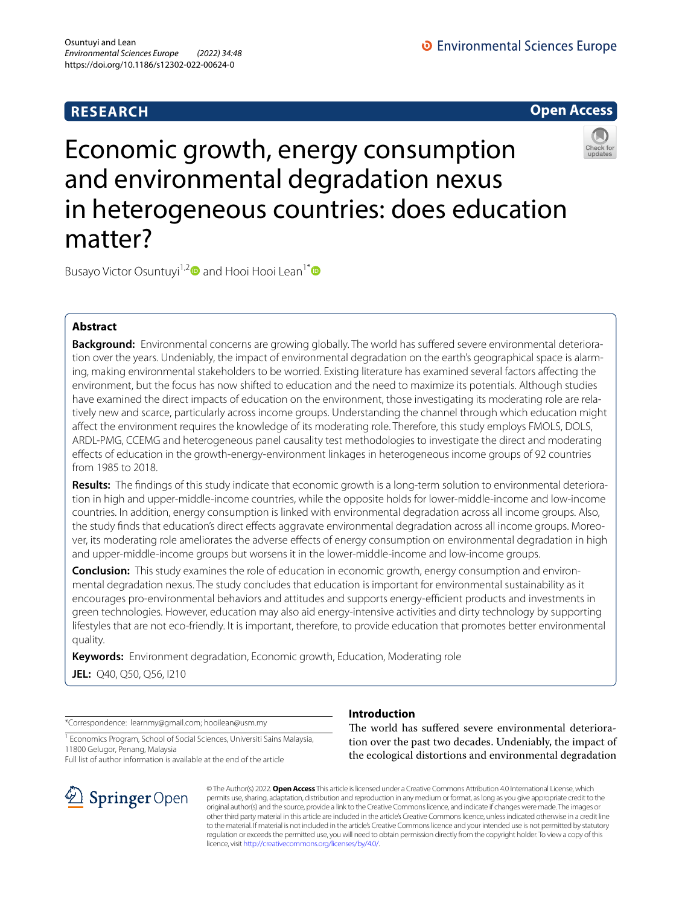# **RESEARCH**

**O** Environmental Sciences Europe

**Open Access**

# Economic growth, energy consumption and environmental degradation nexus in heterogeneous countries: does education matter?



Busayo Victor Osuntuyi<sup>1,2</sup> and Hooi Hooi Lean<sup>1\*</sup>

## **Abstract**

**Background:** Environmental concerns are growing globally. The world has sufered severe environmental deterioration over the years. Undeniably, the impact of environmental degradation on the earth's geographical space is alarming, making environmental stakeholders to be worried. Existing literature has examined several factors afecting the environment, but the focus has now shifted to education and the need to maximize its potentials. Although studies have examined the direct impacts of education on the environment, those investigating its moderating role are relatively new and scarce, particularly across income groups. Understanding the channel through which education might afect the environment requires the knowledge of its moderating role. Therefore, this study employs FMOLS, DOLS, ARDL-PMG, CCEMG and heterogeneous panel causality test methodologies to investigate the direct and moderating efects of education in the growth-energy-environment linkages in heterogeneous income groups of 92 countries from 1985 to 2018.

**Results:** The fndings of this study indicate that economic growth is a long-term solution to environmental deterioration in high and upper-middle-income countries, while the opposite holds for lower-middle-income and low-income countries. In addition, energy consumption is linked with environmental degradation across all income groups. Also, the study fnds that education's direct efects aggravate environmental degradation across all income groups. Moreover, its moderating role ameliorates the adverse efects of energy consumption on environmental degradation in high and upper-middle-income groups but worsens it in the lower-middle-income and low-income groups.

**Conclusion:** This study examines the role of education in economic growth, energy consumption and environmental degradation nexus. The study concludes that education is important for environmental sustainability as it encourages pro-environmental behaviors and attitudes and supports energy-efficient products and investments in green technologies. However, education may also aid energy-intensive activities and dirty technology by supporting lifestyles that are not eco-friendly. It is important, therefore, to provide education that promotes better environmental quality.

**Keywords:** Environment degradation, Economic growth, Education, Moderating role **JEL:** Q40, Q50, Q56, I210

\*Correspondence: learnmy@gmail.com; hooilean@usm.my

<sup>1</sup> Economics Program, School of Social Sciences, Universiti Sains Malaysia, 11800 Gelugor, Penang, Malaysia

Full list of author information is available at the end of the article



## **Introduction**

The world has suffered severe environmental deterioration over the past two decades. Undeniably, the impact of the ecological distortions and environmental degradation

© The Author(s) 2022. **Open Access** This article is licensed under a Creative Commons Attribution 4.0 International License, which permits use, sharing, adaptation, distribution and reproduction in any medium or format, as long as you give appropriate credit to the original author(s) and the source, provide a link to the Creative Commons licence, and indicate if changes were made. The images or other third party material in this article are included in the article's Creative Commons licence, unless indicated otherwise in a credit line to the material. If material is not included in the article's Creative Commons licence and your intended use is not permitted by statutory regulation or exceeds the permitted use, you will need to obtain permission directly from the copyright holder. To view a copy of this licence, visit [http://creativecommons.org/licenses/by/4.0/.](http://creativecommons.org/licenses/by/4.0/)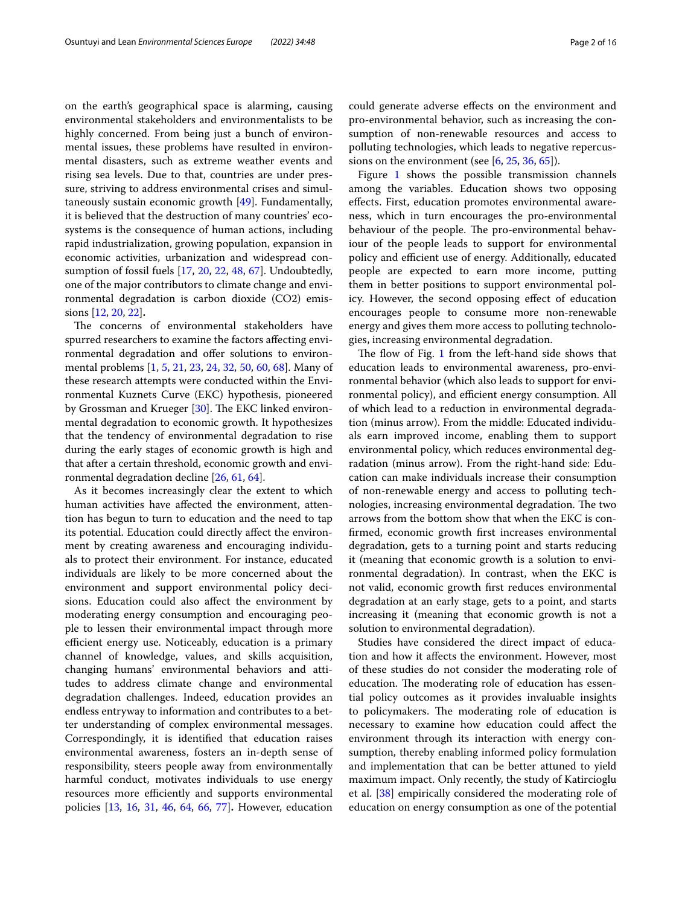on the earth's geographical space is alarming, causing environmental stakeholders and environmentalists to be highly concerned. From being just a bunch of environmental issues, these problems have resulted in environmental disasters, such as extreme weather events and rising sea levels. Due to that, countries are under pressure, striving to address environmental crises and simultaneously sustain economic growth [[49](#page-14-0)]. Fundamentally, it is believed that the destruction of many countries' ecosystems is the consequence of human actions, including rapid industrialization, growing population, expansion in economic activities, urbanization and widespread consumption of fossil fuels [\[17,](#page-13-0) [20,](#page-13-1) [22](#page-13-2), [48](#page-14-1), [67](#page-14-2)]. Undoubtedly, one of the major contributors to climate change and environmental degradation is carbon dioxide (CO2) emissions [\[12,](#page-13-3) [20](#page-13-1), [22\]](#page-13-2)**.**

The concerns of environmental stakeholders have spurred researchers to examine the factors afecting environmental degradation and offer solutions to environmental problems [[1,](#page-13-4) [5](#page-13-5), [21,](#page-13-6) [23](#page-13-7), [24](#page-13-8), [32,](#page-14-3) [50](#page-14-4), [60,](#page-14-5) [68\]](#page-14-6). Many of these research attempts were conducted within the Environmental Kuznets Curve (EKC) hypothesis, pioneered by Grossman and Krueger [\[30](#page-13-9)]. The EKC linked environmental degradation to economic growth. It hypothesizes that the tendency of environmental degradation to rise during the early stages of economic growth is high and that after a certain threshold, economic growth and environmental degradation decline [[26,](#page-13-10) [61](#page-14-7), [64](#page-14-8)].

As it becomes increasingly clear the extent to which human activities have afected the environment, attention has begun to turn to education and the need to tap its potential. Education could directly afect the environment by creating awareness and encouraging individuals to protect their environment. For instance, educated individuals are likely to be more concerned about the environment and support environmental policy decisions. Education could also afect the environment by moderating energy consumption and encouraging people to lessen their environmental impact through more efficient energy use. Noticeably, education is a primary channel of knowledge, values, and skills acquisition, changing humans' environmental behaviors and attitudes to address climate change and environmental degradation challenges. Indeed, education provides an endless entryway to information and contributes to a better understanding of complex environmental messages. Correspondingly, it is identifed that education raises environmental awareness, fosters an in-depth sense of responsibility, steers people away from environmentally harmful conduct, motivates individuals to use energy resources more efficiently and supports environmental policies [[13](#page-13-11), [16](#page-13-12), [31,](#page-13-13) [46,](#page-14-9) [64](#page-14-8), [66,](#page-14-10) [77\]](#page-15-0)**.** However, education could generate adverse efects on the environment and pro-environmental behavior, such as increasing the consumption of non-renewable resources and access to polluting technologies, which leads to negative repercussions on the environment (see  $[6, 25, 36, 65]$  $[6, 25, 36, 65]$  $[6, 25, 36, 65]$  $[6, 25, 36, 65]$  $[6, 25, 36, 65]$  $[6, 25, 36, 65]$  $[6, 25, 36, 65]$ ).

Figure [1](#page-2-0) shows the possible transmission channels among the variables. Education shows two opposing efects. First, education promotes environmental awareness, which in turn encourages the pro-environmental behaviour of the people. The pro-environmental behaviour of the people leads to support for environmental policy and efficient use of energy. Additionally, educated people are expected to earn more income, putting them in better positions to support environmental policy. However, the second opposing efect of education encourages people to consume more non-renewable energy and gives them more access to polluting technologies, increasing environmental degradation.

The flow of Fig. [1](#page-2-0) from the left-hand side shows that education leads to environmental awareness, pro-environmental behavior (which also leads to support for environmental policy), and efficient energy consumption. All of which lead to a reduction in environmental degradation (minus arrow). From the middle: Educated individuals earn improved income, enabling them to support environmental policy, which reduces environmental degradation (minus arrow). From the right-hand side: Education can make individuals increase their consumption of non-renewable energy and access to polluting technologies, increasing environmental degradation. The two arrows from the bottom show that when the EKC is confrmed, economic growth frst increases environmental degradation, gets to a turning point and starts reducing it (meaning that economic growth is a solution to environmental degradation). In contrast, when the EKC is not valid, economic growth frst reduces environmental degradation at an early stage, gets to a point, and starts increasing it (meaning that economic growth is not a solution to environmental degradation).

Studies have considered the direct impact of education and how it afects the environment. However, most of these studies do not consider the moderating role of education. The moderating role of education has essential policy outcomes as it provides invaluable insights to policymakers. The moderating role of education is necessary to examine how education could afect the environment through its interaction with energy consumption, thereby enabling informed policy formulation and implementation that can be better attuned to yield maximum impact. Only recently, the study of Katircioglu et al. [\[38](#page-14-13)] empirically considered the moderating role of education on energy consumption as one of the potential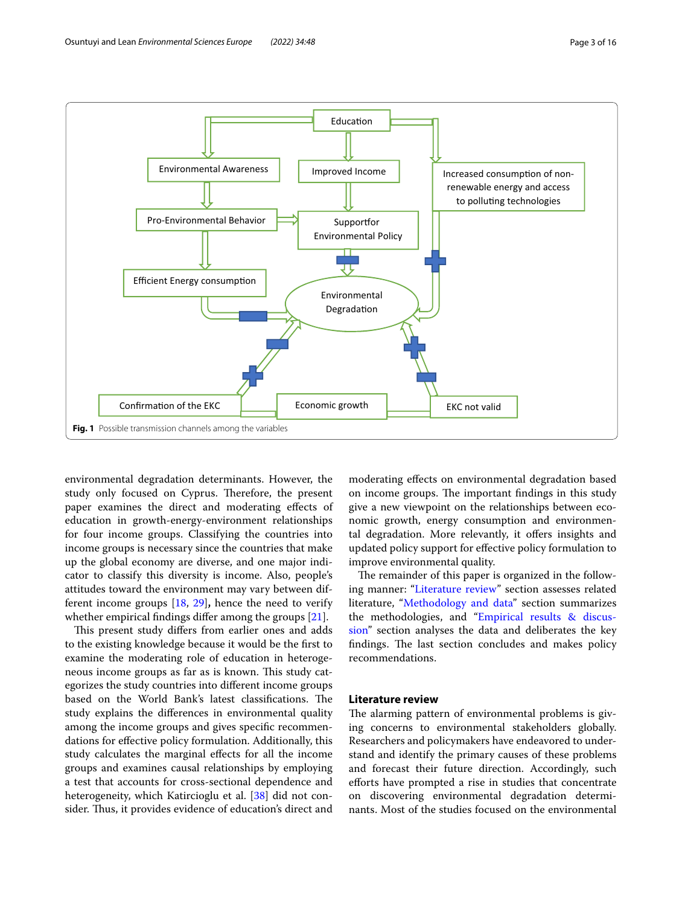

<span id="page-2-0"></span>environmental degradation determinants. However, the study only focused on Cyprus. Therefore, the present paper examines the direct and moderating efects of education in growth-energy-environment relationships for four income groups. Classifying the countries into income groups is necessary since the countries that make up the global economy are diverse, and one major indicator to classify this diversity is income. Also, people's attitudes toward the environment may vary between different income groups [[18,](#page-13-16) [29](#page-13-17)]**,** hence the need to verify whether empirical fndings difer among the groups [[21\]](#page-13-6).

This present study differs from earlier ones and adds to the existing knowledge because it would be the frst to examine the moderating role of education in heterogeneous income groups as far as is known. This study categorizes the study countries into diferent income groups based on the World Bank's latest classifications. The study explains the diferences in environmental quality among the income groups and gives specifc recommendations for efective policy formulation. Additionally, this study calculates the marginal efects for all the income groups and examines causal relationships by employing a test that accounts for cross-sectional dependence and heterogeneity, which Katircioglu et al. [[38\]](#page-14-13) did not consider. Thus, it provides evidence of education's direct and

moderating efects on environmental degradation based on income groups. The important findings in this study give a new viewpoint on the relationships between economic growth, energy consumption and environmental degradation. More relevantly, it ofers insights and updated policy support for efective policy formulation to improve environmental quality.

The remainder of this paper is organized in the following manner: ["Literature review](#page-2-1)" section assesses related literature, ["Methodology and data"](#page-4-0) section summarizes the methodologies, and "[Empirical results & discus](#page-5-0)[sion](#page-5-0)" section analyses the data and deliberates the key findings. The last section concludes and makes policy recommendations.

## <span id="page-2-1"></span>**Literature review**

The alarming pattern of environmental problems is giving concerns to environmental stakeholders globally. Researchers and policymakers have endeavored to understand and identify the primary causes of these problems and forecast their future direction. Accordingly, such eforts have prompted a rise in studies that concentrate on discovering environmental degradation determinants. Most of the studies focused on the environmental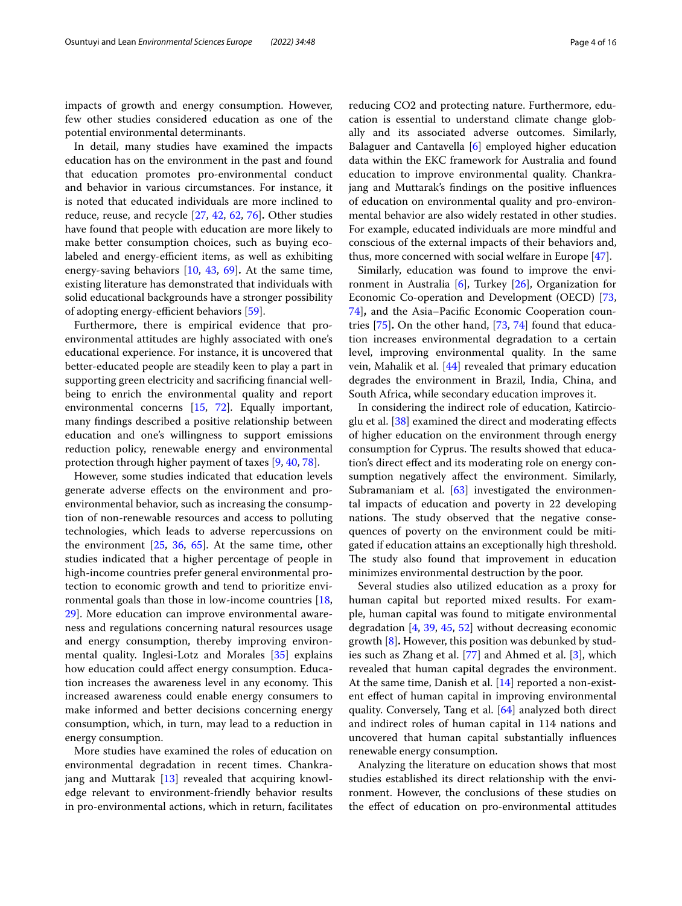impacts of growth and energy consumption. However, few other studies considered education as one of the potential environmental determinants.

In detail, many studies have examined the impacts education has on the environment in the past and found that education promotes pro-environmental conduct and behavior in various circumstances. For instance, it is noted that educated individuals are more inclined to reduce, reuse, and recycle [\[27](#page-13-18), [42](#page-14-14), [62](#page-14-15), [76\]](#page-15-1)**.** Other studies have found that people with education are more likely to make better consumption choices, such as buying ecolabeled and energy-efficient items, as well as exhibiting energy-saving behaviors [[10](#page-13-19), [43](#page-14-16), [69](#page-14-17)]**.** At the same time, existing literature has demonstrated that individuals with solid educational backgrounds have a stronger possibility of adopting energy-efficient behaviors [[59](#page-14-18)].

Furthermore, there is empirical evidence that proenvironmental attitudes are highly associated with one's educational experience. For instance, it is uncovered that better-educated people are steadily keen to play a part in supporting green electricity and sacrifcing fnancial wellbeing to enrich the environmental quality and report environmental concerns [[15](#page-13-20), [72\]](#page-14-19). Equally important, many fndings described a positive relationship between education and one's willingness to support emissions reduction policy, renewable energy and environmental protection through higher payment of taxes [\[9](#page-13-21), [40,](#page-14-20) [78](#page-15-2)].

However, some studies indicated that education levels generate adverse efects on the environment and proenvironmental behavior, such as increasing the consumption of non-renewable resources and access to polluting technologies, which leads to adverse repercussions on the environment  $[25, 36, 65]$  $[25, 36, 65]$  $[25, 36, 65]$  $[25, 36, 65]$  $[25, 36, 65]$ . At the same time, other studies indicated that a higher percentage of people in high-income countries prefer general environmental protection to economic growth and tend to prioritize environmental goals than those in low-income countries [\[18](#page-13-16), [29\]](#page-13-17). More education can improve environmental awareness and regulations concerning natural resources usage and energy consumption, thereby improving environmental quality. Inglesi-Lotz and Morales [\[35](#page-14-21)] explains how education could afect energy consumption. Education increases the awareness level in any economy. This increased awareness could enable energy consumers to make informed and better decisions concerning energy consumption, which, in turn, may lead to a reduction in energy consumption.

More studies have examined the roles of education on environmental degradation in recent times. Chankrajang and Muttarak [\[13\]](#page-13-11) revealed that acquiring knowledge relevant to environment-friendly behavior results in pro-environmental actions, which in return, facilitates reducing CO2 and protecting nature. Furthermore, education is essential to understand climate change globally and its associated adverse outcomes. Similarly, Balaguer and Cantavella [[6\]](#page-13-14) employed higher education data within the EKC framework for Australia and found education to improve environmental quality. Chankrajang and Muttarak's fndings on the positive infuences of education on environmental quality and pro-environmental behavior are also widely restated in other studies. For example, educated individuals are more mindful and conscious of the external impacts of their behaviors and, thus, more concerned with social welfare in Europe [\[47](#page-14-22)].

Similarly, education was found to improve the environment in Australia [\[6](#page-13-14)], Turkey [[26\]](#page-13-10), Organization for Economic Co-operation and Development (OECD) [[73](#page-14-23), [74\]](#page-15-3)**,** and the Asia–Pacifc Economic Cooperation countries [[75\]](#page-15-4)**.** On the other hand, [[73](#page-14-23), [74](#page-15-3)] found that education increases environmental degradation to a certain level, improving environmental quality. In the same vein, Mahalik et al. [[44](#page-14-24)] revealed that primary education degrades the environment in Brazil, India, China, and South Africa, while secondary education improves it.

In considering the indirect role of education, Katircioglu et al. [[38\]](#page-14-13) examined the direct and moderating efects of higher education on the environment through energy consumption for Cyprus. The results showed that education's direct efect and its moderating role on energy consumption negatively afect the environment. Similarly, Subramaniam et al.  $[63]$  $[63]$  investigated the environmental impacts of education and poverty in 22 developing nations. The study observed that the negative consequences of poverty on the environment could be mitigated if education attains an exceptionally high threshold. The study also found that improvement in education minimizes environmental destruction by the poor.

Several studies also utilized education as a proxy for human capital but reported mixed results. For example, human capital was found to mitigate environmental degradation [\[4,](#page-13-22) [39](#page-14-26), [45](#page-14-27), [52](#page-14-28)] without decreasing economic growth [\[8](#page-13-23)]**.** However, this position was debunked by studies such as Zhang et al. [\[77\]](#page-15-0) and Ahmed et al. [[3](#page-13-24)], which revealed that human capital degrades the environment. At the same time, Danish et al. [\[14\]](#page-13-25) reported a non-existent efect of human capital in improving environmental quality. Conversely, Tang et al. [\[64](#page-14-8)] analyzed both direct and indirect roles of human capital in 114 nations and uncovered that human capital substantially infuences renewable energy consumption.

Analyzing the literature on education shows that most studies established its direct relationship with the environment. However, the conclusions of these studies on the efect of education on pro-environmental attitudes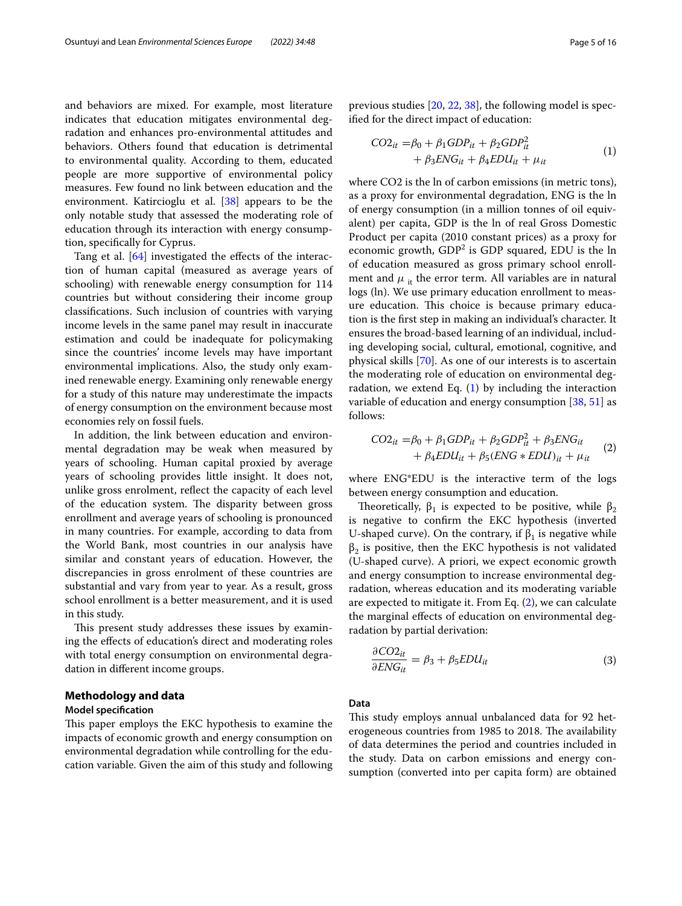and behaviors are mixed. For example, most literature indicates that education mitigates environmental degradation and enhances pro-environmental attitudes and behaviors. Others found that education is detrimental to environmental quality. According to them, educated people are more supportive of environmental policy measures. Few found no link between education and the environment. Katircioglu et al. [\[38](#page-14-13)] appears to be the only notable study that assessed the moderating role of education through its interaction with energy consumption, specifcally for Cyprus.

Tang et al.  $[64]$  $[64]$  $[64]$  investigated the effects of the interaction of human capital (measured as average years of schooling) with renewable energy consumption for 114 countries but without considering their income group classifcations. Such inclusion of countries with varying income levels in the same panel may result in inaccurate estimation and could be inadequate for policymaking since the countries' income levels may have important environmental implications. Also, the study only examined renewable energy. Examining only renewable energy for a study of this nature may underestimate the impacts of energy consumption on the environment because most economies rely on fossil fuels.

In addition, the link between education and environmental degradation may be weak when measured by years of schooling. Human capital proxied by average years of schooling provides little insight. It does not, unlike gross enrolment, refect the capacity of each level of the education system. The disparity between gross enrollment and average years of schooling is pronounced in many countries. For example, according to data from the World Bank, most countries in our analysis have similar and constant years of education. However, the discrepancies in gross enrolment of these countries are substantial and vary from year to year. As a result, gross school enrollment is a better measurement, and it is used in this study.

This present study addresses these issues by examining the efects of education's direct and moderating roles with total energy consumption on environmental degradation in diferent income groups.

### <span id="page-4-0"></span>**Methodology and data**

#### **Model specifcation**

This paper employs the EKC hypothesis to examine the impacts of economic growth and energy consumption on environmental degradation while controlling for the education variable. Given the aim of this study and following previous studies [[20](#page-13-1), [22](#page-13-2), [38\]](#page-14-13), the following model is specifed for the direct impact of education:

<span id="page-4-1"></span>
$$
CO2it = \beta_0 + \beta_1 GDPit + \beta_2 GDPit2
$$
  
+  $\beta_3 ENGit + \beta_4 EDUit + \mu_{it}$  (1)

where CO2 is the ln of carbon emissions (in metric tons), as a proxy for environmental degradation, ENG is the ln of energy consumption (in a million tonnes of oil equivalent) per capita, GDP is the ln of real Gross Domestic Product per capita (2010 constant prices) as a proxy for economic growth,  $GDP<sup>2</sup>$  is  $GDP$  squared, EDU is the  $\ln$ of education measured as gross primary school enrollment and  $\mu_{it}$  the error term. All variables are in natural logs (ln). We use primary education enrollment to measure education. This choice is because primary education is the frst step in making an individual's character. It ensures the broad-based learning of an individual, including developing social, cultural, emotional, cognitive, and physical skills [[70\]](#page-14-29). As one of our interests is to ascertain the moderating role of education on environmental degradation, we extend Eq.  $(1)$  $(1)$  by including the interaction variable of education and energy consumption [\[38,](#page-14-13) [51\]](#page-14-30) as follows:

<span id="page-4-2"></span>
$$
CO2_{it} = \beta_0 + \beta_1 GDP_{it} + \beta_2 GDP_{it}^2 + \beta_3 ENG_{it}
$$
  
+  $\beta_4 EDU_{it} + \beta_5 (ENG * EDU)_{it} + \mu_{it}$  (2)

where ENG\*EDU is the interactive term of the logs between energy consumption and education.

Theoretically,  $\beta_1$  is expected to be positive, while  $\beta_2$ is negative to confrm the EKC hypothesis (inverted U-shaped curve). On the contrary, if  $\beta_1$  is negative while  $\beta_2$  is positive, then the EKC hypothesis is not validated (U-shaped curve). A priori, we expect economic growth and energy consumption to increase environmental degradation, whereas education and its moderating variable are expected to mitigate it. From Eq. [\(2](#page-4-2)), we can calculate the marginal efects of education on environmental degradation by partial derivation:

$$
\frac{\partial CO2_{it}}{\partial ENG_{it}} = \beta_3 + \beta_5 EDU_{it}
$$
\n(3)

## **Data**

This study employs annual unbalanced data for 92 heterogeneous countries from 1985 to 2018. The availability of data determines the period and countries included in the study. Data on carbon emissions and energy consumption (converted into per capita form) are obtained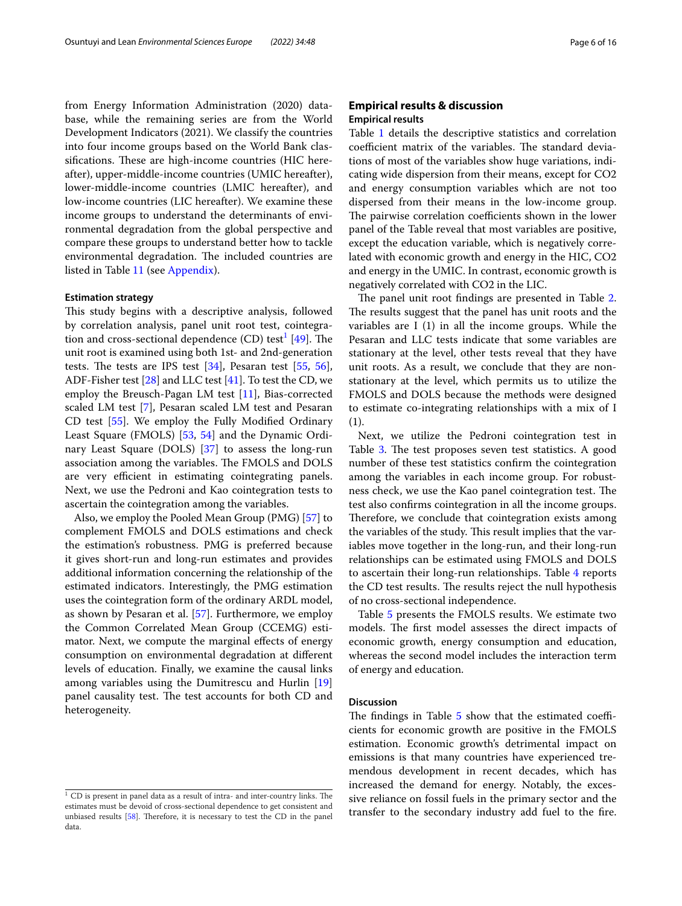from Energy Information Administration (2020) database, while the remaining series are from the World Development Indicators (2021). We classify the countries into four income groups based on the World Bank classifications. These are high-income countries (HIC hereafter), upper-middle-income countries (UMIC hereafter), lower-middle-income countries (LMIC hereafter), and low-income countries (LIC hereafter). We examine these income groups to understand the determinants of environmental degradation from the global perspective and compare these groups to understand better how to tackle environmental degradation. The included countries are listed in Table [11](#page-12-0) (see Appendix).

## **Estimation strategy**

This study begins with a descriptive analysis, followed by correlation analysis, panel unit root test, cointegra-tion and cross-sectional dependence (CD) test<sup>[1](#page-5-1)</sup> [\[49\]](#page-14-0). The unit root is examined using both 1st- and 2nd-generation tests. The tests are IPS test  $[34]$  $[34]$  $[34]$ , Pesaran test  $[55, 56]$  $[55, 56]$  $[55, 56]$  $[55, 56]$ , ADF-Fisher test [[28\]](#page-13-26) and LLC test [\[41\]](#page-14-34). To test the CD, we employ the Breusch-Pagan LM test [[11\]](#page-13-27), Bias-corrected scaled LM test [\[7](#page-13-28)], Pesaran scaled LM test and Pesaran CD test [\[55](#page-14-32)]. We employ the Fully Modifed Ordinary Least Square (FMOLS) [[53](#page-14-35), [54\]](#page-14-36) and the Dynamic Ordinary Least Square (DOLS) [\[37\]](#page-14-37) to assess the long-run association among the variables. The FMOLS and DOLS are very efficient in estimating cointegrating panels. Next, we use the Pedroni and Kao cointegration tests to ascertain the cointegration among the variables.

Also, we employ the Pooled Mean Group (PMG) [\[57\]](#page-14-38) to complement FMOLS and DOLS estimations and check the estimation's robustness. PMG is preferred because it gives short-run and long-run estimates and provides additional information concerning the relationship of the estimated indicators. Interestingly, the PMG estimation uses the cointegration form of the ordinary ARDL model, as shown by Pesaran et al. [[57](#page-14-38)]. Furthermore, we employ the Common Correlated Mean Group (CCEMG) estimator. Next, we compute the marginal efects of energy consumption on environmental degradation at diferent levels of education. Finally, we examine the causal links among variables using the Dumitrescu and Hurlin [[19](#page-13-29)] panel causality test. The test accounts for both CD and heterogeneity.

## <span id="page-5-0"></span>**Empirical results & discussion Empirical results**

Table [1](#page-9-0) details the descriptive statistics and correlation coefficient matrix of the variables. The standard deviations of most of the variables show huge variations, indicating wide dispersion from their means, except for CO2 and energy consumption variables which are not too dispersed from their means in the low-income group. The pairwise correlation coefficients shown in the lower panel of the Table reveal that most variables are positive, except the education variable, which is negatively correlated with economic growth and energy in the HIC, CO2 and energy in the UMIC. In contrast, economic growth is negatively correlated with CO2 in the LIC.

The panel unit root findings are presented in Table [2](#page-9-1). The results suggest that the panel has unit roots and the variables are I (1) in all the income groups. While the Pesaran and LLC tests indicate that some variables are stationary at the level, other tests reveal that they have unit roots. As a result, we conclude that they are nonstationary at the level, which permits us to utilize the FMOLS and DOLS because the methods were designed to estimate co-integrating relationships with a mix of I (1).

Next, we utilize the Pedroni cointegration test in Table [3.](#page-10-0) The test proposes seven test statistics. A good number of these test statistics confrm the cointegration among the variables in each income group. For robustness check, we use the Kao panel cointegration test. The test also confrms cointegration in all the income groups. Therefore, we conclude that cointegration exists among the variables of the study. This result implies that the variables move together in the long-run, and their long-run relationships can be estimated using FMOLS and DOLS to ascertain their long-run relationships. Table [4](#page-10-1) reports the CD test results. The results reject the null hypothesis of no cross-sectional independence.

Table [5](#page-10-2) presents the FMOLS results. We estimate two models. The first model assesses the direct impacts of economic growth, energy consumption and education, whereas the second model includes the interaction term of energy and education.

#### **Discussion**

The findings in Table  $5$  show that the estimated coefficients for economic growth are positive in the FMOLS estimation. Economic growth's detrimental impact on emissions is that many countries have experienced tremendous development in recent decades, which has increased the demand for energy. Notably, the excessive reliance on fossil fuels in the primary sector and the transfer to the secondary industry add fuel to the fre.

<span id="page-5-1"></span> $^{\rm 1}$  CD is present in panel data as a result of intra- and inter-country links. The estimates must be devoid of cross-sectional dependence to get consistent and unbiased results  $[58]$ . Therefore, it is necessary to test the CD in the panel data.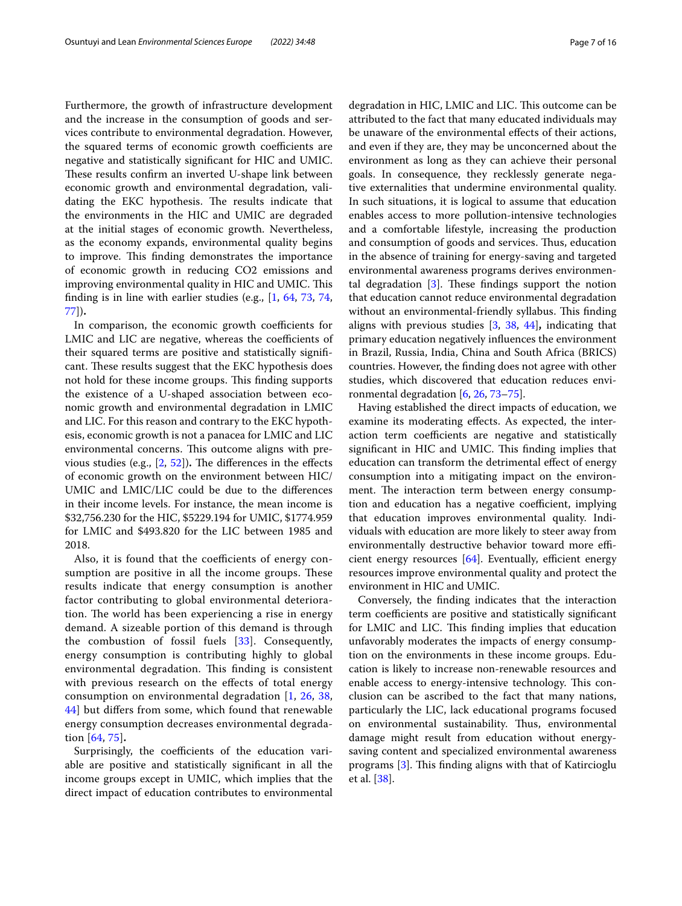Furthermore, the growth of infrastructure development and the increase in the consumption of goods and services contribute to environmental degradation. However, the squared terms of economic growth coefficients are negative and statistically signifcant for HIC and UMIC. These results confirm an inverted U-shape link between economic growth and environmental degradation, validating the EKC hypothesis. The results indicate that the environments in the HIC and UMIC are degraded at the initial stages of economic growth. Nevertheless, as the economy expands, environmental quality begins to improve. This finding demonstrates the importance of economic growth in reducing CO2 emissions and improving environmental quality in HIC and UMIC. This fnding is in line with earlier studies (e.g., [\[1](#page-13-4), [64](#page-14-8), [73,](#page-14-23) [74](#page-15-3), [77\]](#page-15-0))**.**

In comparison, the economic growth coefficients for LMIC and LIC are negative, whereas the coefficients of their squared terms are positive and statistically signifcant. These results suggest that the EKC hypothesis does not hold for these income groups. This finding supports the existence of a U-shaped association between economic growth and environmental degradation in LMIC and LIC. For this reason and contrary to the EKC hypothesis, economic growth is not a panacea for LMIC and LIC environmental concerns. This outcome aligns with previous studies (e.g.,  $[2, 52]$  $[2, 52]$  $[2, 52]$  $[2, 52]$ ). The differences in the effects of economic growth on the environment between HIC/ UMIC and LMIC/LIC could be due to the diferences in their income levels. For instance, the mean income is \$32,756.230 for the HIC, \$5229.194 for UMIC, \$1774.959 for LMIC and \$493.820 for the LIC between 1985 and 2018.

Also, it is found that the coefficients of energy consumption are positive in all the income groups. These results indicate that energy consumption is another factor contributing to global environmental deterioration. The world has been experiencing a rise in energy demand. A sizeable portion of this demand is through the combustion of fossil fuels [[33](#page-14-40)]. Consequently, energy consumption is contributing highly to global environmental degradation. This finding is consistent with previous research on the effects of total energy consumption on environmental degradation [[1,](#page-13-4) [26,](#page-13-10) [38](#page-14-13), [44\]](#page-14-24) but difers from some, which found that renewable energy consumption decreases environmental degradation [\[64,](#page-14-8) [75\]](#page-15-4)**.**

Surprisingly, the coefficients of the education variable are positive and statistically signifcant in all the income groups except in UMIC, which implies that the direct impact of education contributes to environmental degradation in HIC, LMIC and LIC. This outcome can be attributed to the fact that many educated individuals may be unaware of the environmental efects of their actions, and even if they are, they may be unconcerned about the environment as long as they can achieve their personal goals. In consequence, they recklessly generate negative externalities that undermine environmental quality. In such situations, it is logical to assume that education enables access to more pollution-intensive technologies and a comfortable lifestyle, increasing the production and consumption of goods and services. Thus, education in the absence of training for energy-saving and targeted environmental awareness programs derives environmental degradation  $[3]$  $[3]$ . These findings support the notion that education cannot reduce environmental degradation without an environmental-friendly syllabus. This finding aligns with previous studies [\[3](#page-13-24), [38](#page-14-13), [44](#page-14-24)]**,** indicating that primary education negatively infuences the environment in Brazil, Russia, India, China and South Africa (BRICS) countries. However, the fnding does not agree with other studies, which discovered that education reduces environmental degradation [\[6](#page-13-14), [26](#page-13-10), [73–](#page-14-23)[75\]](#page-15-4).

Having established the direct impacts of education, we examine its moderating efects. As expected, the interaction term coefficients are negative and statistically significant in HIC and UMIC. This finding implies that education can transform the detrimental effect of energy consumption into a mitigating impact on the environment. The interaction term between energy consumption and education has a negative coefficient, implying that education improves environmental quality. Individuals with education are more likely to steer away from environmentally destructive behavior toward more efficient energy resources  $[64]$  $[64]$ . Eventually, efficient energy resources improve environmental quality and protect the environment in HIC and UMIC.

Conversely, the fnding indicates that the interaction term coefficients are positive and statistically significant for LMIC and LIC. This finding implies that education unfavorably moderates the impacts of energy consumption on the environments in these income groups. Education is likely to increase non-renewable resources and enable access to energy-intensive technology. This conclusion can be ascribed to the fact that many nations, particularly the LIC, lack educational programs focused on environmental sustainability. Thus, environmental damage might result from education without energysaving content and specialized environmental awareness programs  $[3]$ . This finding aligns with that of Katircioglu et al. [[38](#page-14-13)].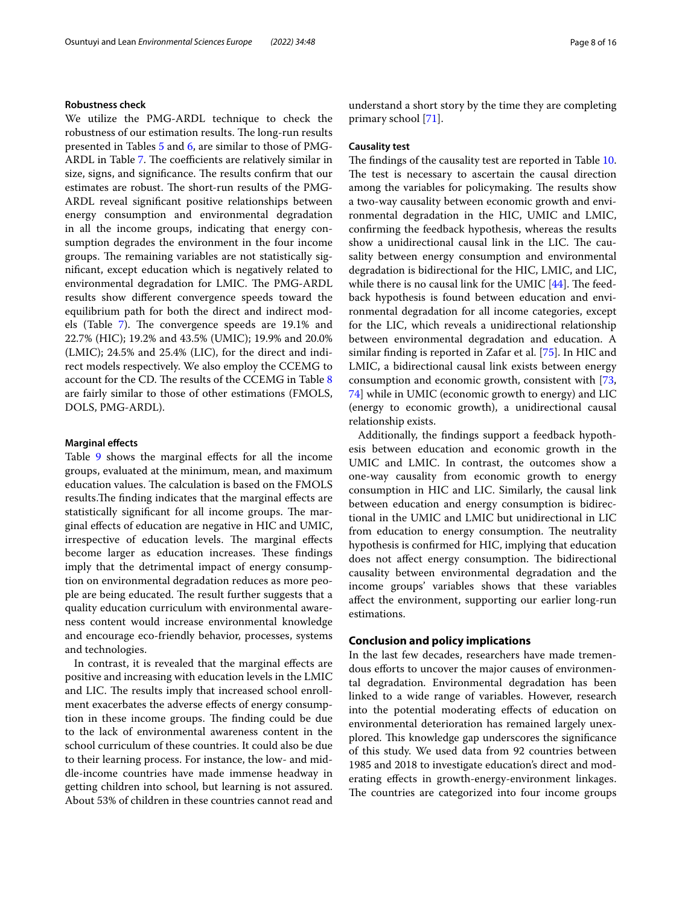### **Robustness check**

We utilize the PMG-ARDL technique to check the robustness of our estimation results. The long-run results presented in Tables [5](#page-10-2) and [6,](#page-11-0) are similar to those of PMG-ARDL in Table [7](#page-11-1). The coefficients are relatively similar in size, signs, and significance. The results confirm that our estimates are robust. The short-run results of the PMG-ARDL reveal signifcant positive relationships between energy consumption and environmental degradation in all the income groups, indicating that energy consumption degrades the environment in the four income groups. The remaining variables are not statistically signifcant, except education which is negatively related to environmental degradation for LMIC. The PMG-ARDL results show diferent convergence speeds toward the equilibrium path for both the direct and indirect mod-els (Table [7](#page-11-1)). The convergence speeds are 19.1% and 22.7% (HIC); 19.2% and 43.5% (UMIC); 19.9% and 20.0% (LMIC); 24.5% and 25.4% (LIC), for the direct and indirect models respectively. We also employ the CCEMG to account for the CD. The results of the CCEMG in Table  $8$ are fairly similar to those of other estimations (FMOLS, DOLS, PMG-ARDL).

## **Marginal efects**

Table [9](#page-12-2) shows the marginal effects for all the income groups, evaluated at the minimum, mean, and maximum education values. The calculation is based on the  $FMOLS$ results. The finding indicates that the marginal effects are statistically significant for all income groups. The marginal efects of education are negative in HIC and UMIC, irrespective of education levels. The marginal effects become larger as education increases. These findings imply that the detrimental impact of energy consumption on environmental degradation reduces as more people are being educated. The result further suggests that a quality education curriculum with environmental awareness content would increase environmental knowledge and encourage eco-friendly behavior, processes, systems and technologies.

In contrast, it is revealed that the marginal efects are positive and increasing with education levels in the LMIC and LIC. The results imply that increased school enrollment exacerbates the adverse efects of energy consumption in these income groups. The finding could be due to the lack of environmental awareness content in the school curriculum of these countries. It could also be due to their learning process. For instance, the low- and middle-income countries have made immense headway in getting children into school, but learning is not assured. About 53% of children in these countries cannot read and understand a short story by the time they are completing primary school [\[71\]](#page-14-41).

### **Causality test**

The findings of the causality test are reported in Table [10](#page-12-3). The test is necessary to ascertain the causal direction among the variables for policymaking. The results show a two-way causality between economic growth and environmental degradation in the HIC, UMIC and LMIC, confrming the feedback hypothesis, whereas the results show a unidirectional causal link in the LIC. The causality between energy consumption and environmental degradation is bidirectional for the HIC, LMIC, and LIC, while there is no causal link for the UMIC  $[44]$ . The feedback hypothesis is found between education and environmental degradation for all income categories, except for the LIC, which reveals a unidirectional relationship between environmental degradation and education. A similar fnding is reported in Zafar et al. [\[75](#page-15-4)]. In HIC and LMIC, a bidirectional causal link exists between energy consumption and economic growth, consistent with [[73](#page-14-23), [74\]](#page-15-3) while in UMIC (economic growth to energy) and LIC (energy to economic growth), a unidirectional causal relationship exists.

Additionally, the fndings support a feedback hypothesis between education and economic growth in the UMIC and LMIC. In contrast, the outcomes show a one-way causality from economic growth to energy consumption in HIC and LIC. Similarly, the causal link between education and energy consumption is bidirectional in the UMIC and LMIC but unidirectional in LIC from education to energy consumption. The neutrality hypothesis is confrmed for HIC, implying that education does not affect energy consumption. The bidirectional causality between environmental degradation and the income groups' variables shows that these variables afect the environment, supporting our earlier long-run estimations.

## **Conclusion and policy implications**

In the last few decades, researchers have made tremendous efforts to uncover the major causes of environmental degradation. Environmental degradation has been linked to a wide range of variables. However, research into the potential moderating efects of education on environmental deterioration has remained largely unexplored. This knowledge gap underscores the significance of this study. We used data from 92 countries between 1985 and 2018 to investigate education's direct and moderating efects in growth-energy-environment linkages. The countries are categorized into four income groups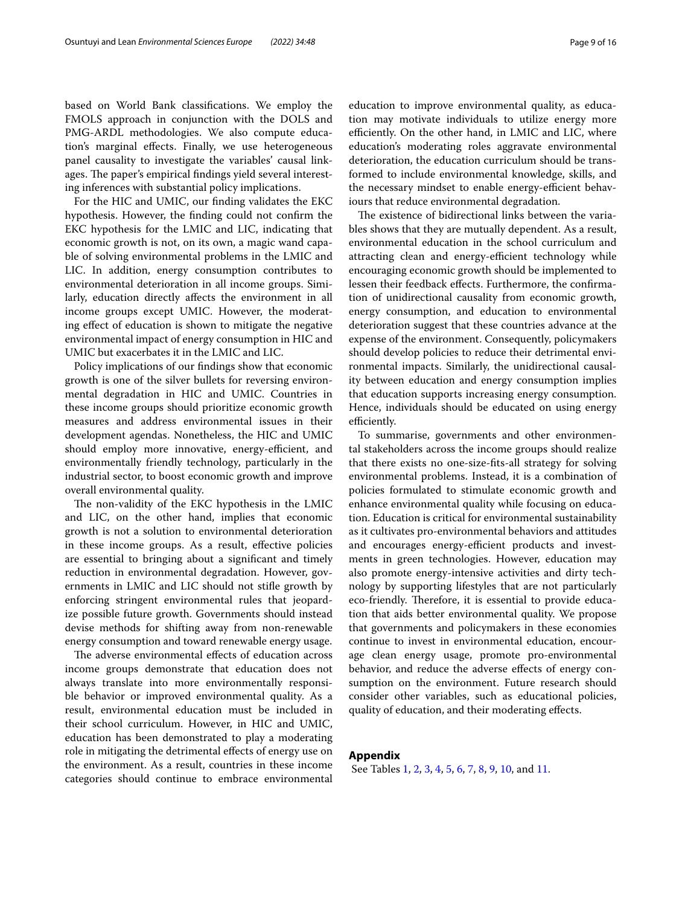based on World Bank classifcations. We employ the FMOLS approach in conjunction with the DOLS and PMG-ARDL methodologies. We also compute education's marginal efects. Finally, we use heterogeneous panel causality to investigate the variables' causal linkages. The paper's empirical findings yield several interesting inferences with substantial policy implications.

For the HIC and UMIC, our fnding validates the EKC hypothesis. However, the fnding could not confrm the EKC hypothesis for the LMIC and LIC, indicating that economic growth is not, on its own, a magic wand capable of solving environmental problems in the LMIC and LIC. In addition, energy consumption contributes to environmental deterioration in all income groups. Similarly, education directly afects the environment in all income groups except UMIC. However, the moderating efect of education is shown to mitigate the negative environmental impact of energy consumption in HIC and UMIC but exacerbates it in the LMIC and LIC.

Policy implications of our fndings show that economic growth is one of the silver bullets for reversing environmental degradation in HIC and UMIC. Countries in these income groups should prioritize economic growth measures and address environmental issues in their development agendas. Nonetheless, the HIC and UMIC should employ more innovative, energy-efficient, and environmentally friendly technology, particularly in the industrial sector, to boost economic growth and improve overall environmental quality.

The non-validity of the EKC hypothesis in the LMIC and LIC, on the other hand, implies that economic growth is not a solution to environmental deterioration in these income groups. As a result, efective policies are essential to bringing about a signifcant and timely reduction in environmental degradation. However, governments in LMIC and LIC should not stife growth by enforcing stringent environmental rules that jeopardize possible future growth. Governments should instead devise methods for shifting away from non-renewable energy consumption and toward renewable energy usage.

The adverse environmental effects of education across income groups demonstrate that education does not always translate into more environmentally responsible behavior or improved environmental quality. As a result, environmental education must be included in their school curriculum. However, in HIC and UMIC, education has been demonstrated to play a moderating role in mitigating the detrimental efects of energy use on the environment. As a result, countries in these income categories should continue to embrace environmental education to improve environmental quality, as education may motivate individuals to utilize energy more efficiently. On the other hand, in LMIC and LIC, where education's moderating roles aggravate environmental deterioration, the education curriculum should be transformed to include environmental knowledge, skills, and the necessary mindset to enable energy-efficient behaviours that reduce environmental degradation.

The existence of bidirectional links between the variables shows that they are mutually dependent. As a result, environmental education in the school curriculum and attracting clean and energy-efficient technology while encouraging economic growth should be implemented to lessen their feedback efects. Furthermore, the confrmation of unidirectional causality from economic growth, energy consumption, and education to environmental deterioration suggest that these countries advance at the expense of the environment. Consequently, policymakers should develop policies to reduce their detrimental environmental impacts. Similarly, the unidirectional causality between education and energy consumption implies that education supports increasing energy consumption. Hence, individuals should be educated on using energy efficiently.

To summarise, governments and other environmental stakeholders across the income groups should realize that there exists no one-size-fts-all strategy for solving environmental problems. Instead, it is a combination of policies formulated to stimulate economic growth and enhance environmental quality while focusing on education. Education is critical for environmental sustainability as it cultivates pro-environmental behaviors and attitudes and encourages energy-efficient products and investments in green technologies. However, education may also promote energy-intensive activities and dirty technology by supporting lifestyles that are not particularly eco-friendly. Therefore, it is essential to provide education that aids better environmental quality. We propose that governments and policymakers in these economies continue to invest in environmental education, encourage clean energy usage, promote pro-environmental behavior, and reduce the adverse efects of energy consumption on the environment. Future research should consider other variables, such as educational policies, quality of education, and their moderating efects.

## **Appendix**

See Tables [1,](#page-9-0) [2](#page-9-1), [3,](#page-10-0) [4](#page-10-1), [5,](#page-10-2) [6](#page-11-0), [7,](#page-11-1) [8](#page-12-1), [9](#page-12-2), [10,](#page-12-3) and [11.](#page-12-0)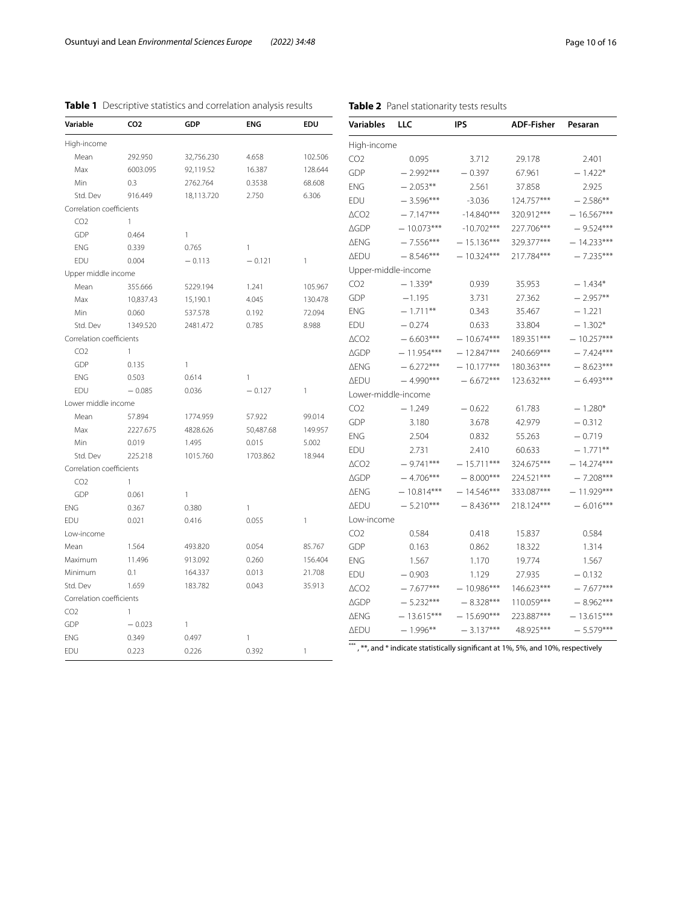| Variable                                    | CO <sub>2</sub>          | GDP                   | ENG          | EDU               | <b>Variables</b>    | LLC          | <b>IPS</b>                                                                         | <b>ADF-Fisher</b> | Pesaran      |
|---------------------------------------------|--------------------------|-----------------------|--------------|-------------------|---------------------|--------------|------------------------------------------------------------------------------------|-------------------|--------------|
| High-income                                 |                          |                       |              |                   | High-income         |              |                                                                                    |                   |              |
| Mean                                        | 292.950                  | 32,756.230            | 4.658        | 102.506           | CO <sub>2</sub>     | 0.095        | 3.712                                                                              | 29.178            | 2.401        |
| Max                                         | 6003.095                 | 92,119.52             | 16.387       | 128.644           | GDP                 | $-2.992***$  | $-0.397$                                                                           | 67.961            | $-1.422*$    |
| Min                                         | 0.3                      | 2762.764              | 0.3538       | 68.608            | <b>ENG</b>          | $-2.053**$   | 2.561                                                                              | 37.858            | 2.925        |
| Std. Dev                                    | 916.449                  | 18,113.720            | 2.750        | 6.306             | EDU                 | $-3.596***$  | $-3.036$                                                                           | 124.757***        | $-2.586**$   |
| Correlation coefficients                    |                          |                       |              |                   | $\triangle CO2$     | $-7.147***$  | $-14.840***$                                                                       | 320.912***        | $-16.567***$ |
| CO <sub>2</sub>                             | $\mathbf{1}$             |                       |              |                   | <b>AGDP</b>         | $-10.073***$ | $-10.702***$                                                                       | 227.706***        | $-9.524***$  |
| GDP                                         | 0.464                    | $\mathbf{1}$          |              |                   | ∆ENG                | $-7.556***$  | $-15.136***$                                                                       | 329.377***        | $-14.233***$ |
| <b>ENG</b>                                  | 0.339                    | 0.765                 | $\mathbf{1}$ |                   | <b>AEDU</b>         | $-8.546***$  | $-10.324***$                                                                       | 217.784***        | $-7.235***$  |
| EDU                                         | 0.004                    | $-0.113$              | $-0.121$     | $\mathbf{1}$      |                     |              |                                                                                    |                   |              |
| Upper middle income                         |                          |                       |              |                   | Upper-middle-income |              |                                                                                    |                   |              |
| Mean                                        | 355.666                  | 5229.194              | 1.241        | 105.967           | CO <sub>2</sub>     | $-1.339*$    | 0.939                                                                              | 35.953            | $-1.434*$    |
| Max                                         | 10,837.43                | 15,190.1              | 4.045        | 130.478           | GDP                 | $-1.195$     | 3.731                                                                              | 27.362            | $-2.957**$   |
| Min                                         | 0.060                    | 537.578               | 0.192        | 72.094            | ENG                 | $-1.711**$   | 0.343                                                                              | 35.467            | $-1.221$     |
| Std. Dev                                    | 1349.520                 | 2481.472              | 0.785        | 8.988             | EDU                 | $-0.274$     | 0.633                                                                              | 33.804            | $-1.302*$    |
| Correlation coefficients                    |                          |                       |              |                   | $\triangle CO2$     | $-6.603***$  | $-10.674***$                                                                       | 189.351***        | $-10.257***$ |
| CO <sub>2</sub>                             | $\mathbf{1}$             |                       |              |                   | <b>AGDP</b>         | $-11.954***$ | $-12.847***$                                                                       | 240.669***        | $-7.424***$  |
| GDP                                         | 0.135                    | 1                     |              |                   | ∆ENG                | $-6.272***$  | $-10.177***$                                                                       | 180.363***        | $-8.623***$  |
| ENG                                         | 0.503                    | 0.614                 | $\mathbf{1}$ |                   | <b>AEDU</b>         | $-4.990***$  | $-6.672***$                                                                        | 123.632***        | $-6.493***$  |
| EDU                                         | $-0.085$                 | 0.036                 | $-0.127$     | $\mathbf{1}$      | Lower-middle-income |              |                                                                                    |                   |              |
| Lower middle income                         |                          |                       |              |                   | CO <sub>2</sub>     | $-1.249$     | $-0.622$                                                                           | 61.783            | $-1.280*$    |
| Mean                                        | 57.894                   | 1774.959              | 57.922       | 99.014            | GDP                 | 3.180        | 3.678                                                                              | 42.979            | $-0.312$     |
| Max                                         | 2227.675                 | 4828.626              | 50,487.68    | 149.957           | ENG                 | 2.504        | 0.832                                                                              | 55.263            | $-0.719$     |
| Min                                         | 0.019                    | 1.495                 | 0.015        | 5.002             | EDU                 | 2.731        | 2.410                                                                              | 60.633            | $-1.771**$   |
| Std. Dev                                    | 225.218                  | 1015.760              | 1703.862     | 18.944            | $\triangle CO2$     | $-9.741***$  | $-15.711***$                                                                       | 324.675***        | $-14.274***$ |
| Correlation coefficients                    |                          |                       |              |                   | <b>AGDP</b>         | $-4.706***$  | $-8.000***$                                                                        | 224.521***        | $-7.208***$  |
| CO <sub>2</sub>                             | $\mathbf{1}$             |                       |              |                   | <b>AENG</b>         | $-10.814***$ | $-14.546***$                                                                       | 333.087***        | $-11.929***$ |
| GDP                                         | 0.061                    | $\mathbf{1}$          |              |                   | <b>AEDU</b>         | $-5.210***$  | $-8.436***$                                                                        | 218.124***        | $-6.016***$  |
| ENG                                         | 0.367                    | 0.380                 | $\mathbf{1}$ |                   | Low-income          |              |                                                                                    |                   |              |
| EDU                                         | 0.021                    | 0.416                 | 0.055        | $\mathbf{1}$      |                     |              |                                                                                    |                   |              |
| Low-income                                  |                          |                       |              |                   | CO <sub>2</sub>     | 0.584        | 0.418                                                                              | 15.837            | 0.584        |
| Mean                                        | 1.564<br>11.496          | 493.820               | 0.054        | 85.767<br>156.404 | GDP                 | 0.163        | 0.862                                                                              | 18.322            | 1.314        |
| Maximum                                     |                          | 913.092               | 0.260        |                   | <b>ENG</b>          | 1.567        | 1.170                                                                              | 19.774            | 1.567        |
| Minimum<br>Std. Dev                         | 0.1<br>1.659             | 164.337<br>183.782    | 0.013        | 21.708            | EDU                 | $-0.903$     | 1.129                                                                              | 27.935            | $-0.132$     |
|                                             |                          |                       | 0.043        | 35.913            | $\triangle CO2$     | $-7.677***$  | $-10.986***$                                                                       | 146.623***        | $-7.677***$  |
| Correlation coefficients<br>CO <sub>2</sub> |                          |                       |              |                   | <b>AGDP</b>         | $-5.232***$  | $-8.328***$                                                                        | 110.059***        | $-8.962***$  |
|                                             | $\mathbf{1}$<br>$-0.023$ |                       |              |                   | ∆ENG                | $-13.615***$ | $-15.690***$                                                                       | 223.887***        | $-13.615***$ |
| GDP<br><b>ENG</b>                           | 0.349                    | $\mathbf{1}$<br>0.497 | $\mathbf{1}$ |                   | <b>AEDU</b>         | $-1.996***$  | $-3.137***$                                                                        | 48.925***         | $-5.579***$  |
| EDU                                         | 0.223                    |                       | 0.392        | $\mathbf{1}$      |                     |              | ***, **, and * indicate statistically significant at 1%, 5%, and 10%, respectively |                   |              |
|                                             |                          | 0.226                 |              |                   |                     |              |                                                                                    |                   |              |

<span id="page-9-1"></span>**Table 2** Panel stationarity tests results

## <span id="page-9-0"></span>**Table 1** Descriptive statistics and correlation analysis results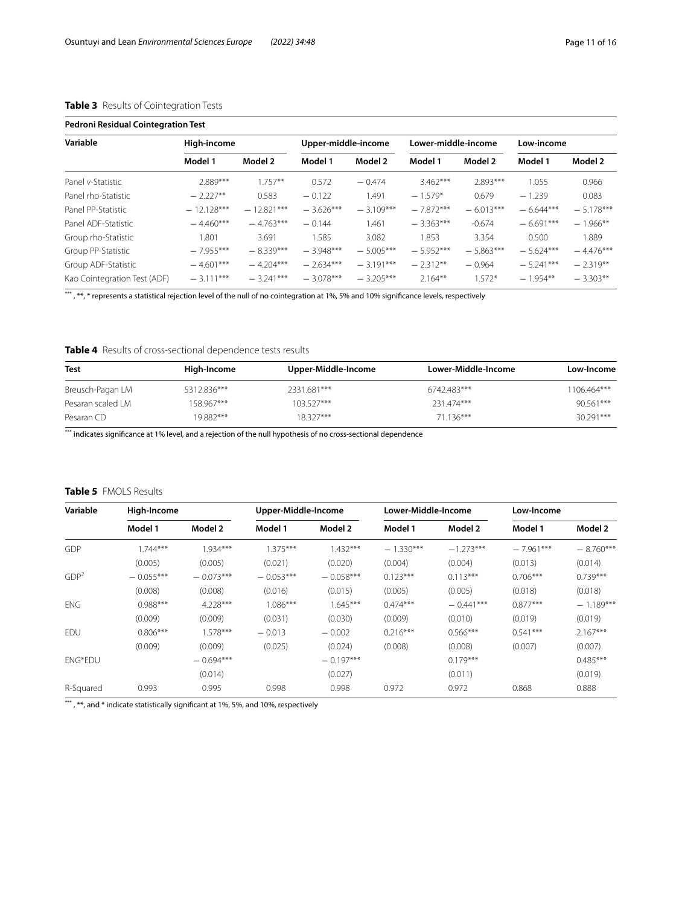## <span id="page-10-0"></span>**Table 3** Results of Cointegration Tests

| <b>Pedroni Residual Cointegration Test</b> |              |              |                     |             |                     |             |             |             |  |
|--------------------------------------------|--------------|--------------|---------------------|-------------|---------------------|-------------|-------------|-------------|--|
| Variable                                   | High-income  |              | Upper-middle-income |             | Lower-middle-income |             | Low-income  |             |  |
|                                            | Model 1      | Model 2      | Model 1             | Model 2     | Model 1             | Model 2     | Model 1     | Model 2     |  |
| Panel v-Statistic                          | 2.889***     | $1.757**$    | 0.572               | $-0.474$    | $3.462***$          | 2.893***    | 1.055       | 0.966       |  |
| Panel rho-Statistic                        | $-2.227**$   | 0.583        | $-0.122$            | 1.491       | $-1.579*$           | 0.679       | $-1.239$    | 0.083       |  |
| Panel PP-Statistic                         | $-12.128***$ | $-12.821***$ | $-3.626***$         | $-3.109***$ | $-7.872***$         | $-6.013***$ | $-6.644***$ | $-5.178***$ |  |
| Panel ADF-Statistic                        | $-4.460***$  | $-4.763***$  | $-0.144$            | 1.461       | $-3.363***$         | $-0.674$    | $-6.691***$ | $-1.966**$  |  |
| Group rho-Statistic                        | 1.801        | 3.691        | 1.585               | 3.082       | .853                | 3.354       | 0.500       | 1.889       |  |
| Group PP-Statistic                         | $-7.955***$  | $-8.339***$  | $-3.948***$         | $-5.005***$ | $-5.952***$         | $-5.863***$ | $-5.624***$ | $-4.476***$ |  |
| Group ADF-Statistic                        | $-4.601***$  | $-4.204***$  | $-2.634***$         | $-3.191***$ | $-2.312**$          | $-0.964$    | $-5.241***$ | $-2.319**$  |  |
| Kao Cointegration Test (ADF)               | $-3.111***$  | $-3.241***$  | $-3.078***$         | $-3.205***$ | $2.164**$           | $1.572*$    | $-1.954**$  | $-3.303**$  |  |

\*\*\*, \*\*, \* represents a statistical rejection level of the null of no cointegration at 1%, 5% and 10% significance levels, respectively

## <span id="page-10-1"></span>**Table 4** Results of cross-sectional dependence tests results

| <b>Test</b>       | High-Income | Upper-Middle-Income | Lower-Middle-Income | Low-Income  |
|-------------------|-------------|---------------------|---------------------|-------------|
| Breusch-Pagan LM  | 5312.836*** | 2331.681***         | 6742.483***         | 1106.464*** |
| Pesaran scaled LM | 158.967***  | $103527***$         | 231.474***          | $90.561***$ |
| Pesaran CD        | 19882***    | $18327***$          | 71 136***           | 30 291***   |

\*\*\* indicates significance at 1% level, and a rejection of the null hypothesis of no cross-sectional dependence

#### <span id="page-10-2"></span>**Table 5** FMOLS Results

| Variable         | High-Income |             | Upper-Middle-Income |             | Lower-Middle-Income |             | Low-Income  |             |
|------------------|-------------|-------------|---------------------|-------------|---------------------|-------------|-------------|-------------|
|                  | Model 1     | Model 2     | Model 1             | Model 2     | Model 1             | Model 2     | Model 1     | Model 2     |
| <b>GDP</b>       | $1.744***$  | $1.934***$  | $1.375***$          | $1.432***$  | $-1.330***$         | $-1.273***$ | $-7.961***$ | $-8.760***$ |
|                  | (0.005)     | (0.005)     | (0.021)             | (0.020)     | (0.004)             | (0.004)     | (0.013)     | (0.014)     |
| GDP <sup>2</sup> | $-0.055***$ | $-0.073***$ | $-0.053***$         | $-0.058***$ | $0.123***$          | $0.113***$  | $0.706***$  | $0.739***$  |
|                  | (0.008)     | (0.008)     | (0.016)             | (0.015)     | (0.005)             | (0.005)     | (0.018)     | (0.018)     |
| <b>ENG</b>       | $0.988***$  | $4.228***$  | $1.086***$          | $1.645***$  | $0.474***$          | $-0.441***$ | $0.877***$  | $-1.189***$ |
|                  | (0.009)     | (0.009)     | (0.031)             | (0.030)     | (0.009)             | (0.010)     | (0.019)     | (0.019)     |
| EDU              | $0.806***$  | $1.578***$  | $-0.013$            | $-0.002$    | $0.216***$          | $0.566***$  | $0.541***$  | $2.167***$  |
|                  | (0.009)     | (0.009)     | (0.025)             | (0.024)     | (0.008)             | (0.008)     | (0.007)     | (0.007)     |
| <b>ENG*EDU</b>   |             | $-0.694***$ |                     | $-0.197***$ |                     | $0.179***$  |             | $0.485***$  |
|                  |             | (0.014)     |                     | (0.027)     |                     | (0.011)     |             | (0.019)     |
| R-Squared        | 0.993       | 0.995       | 0.998               | 0.998       | 0.972               | 0.972       | 0.868       | 0.888       |

\*\*\*, \*\*, and \* indicate statistically significant at 1%, 5%, and 10%, respectively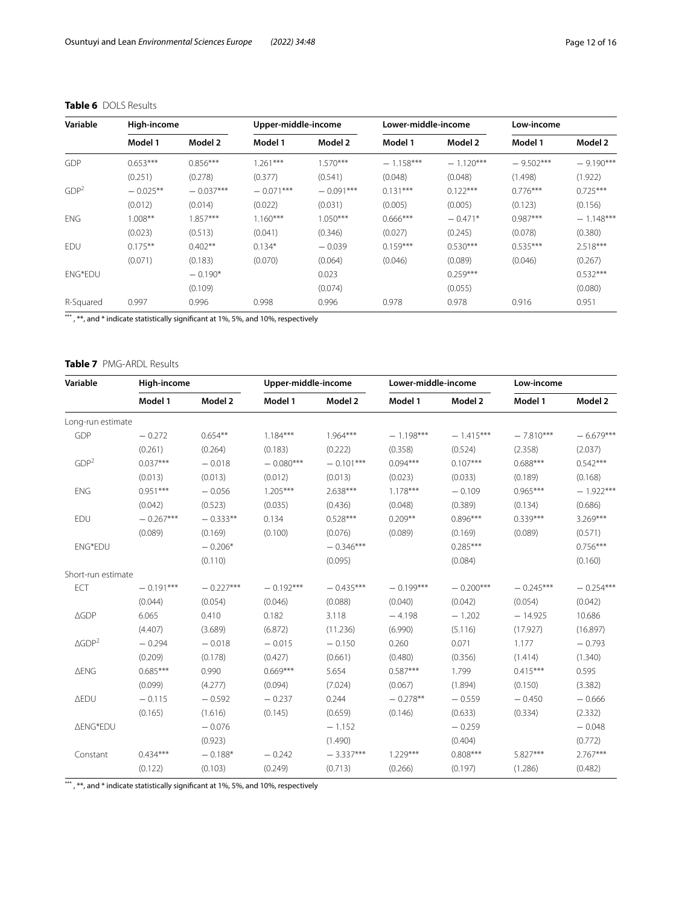| Variable         | High-income |             |             | Lower-middle-income<br>Upper-middle-income |             | Low-income  |             |             |
|------------------|-------------|-------------|-------------|--------------------------------------------|-------------|-------------|-------------|-------------|
|                  | Model 1     | Model 2     | Model 1     | Model 2                                    | Model 1     | Model 2     | Model 1     | Model 2     |
| GDP              | $0.653***$  | $0.856***$  | $1.261***$  | $1.570***$                                 | $-1.158***$ | $-1.120***$ | $-9.502***$ | $-9.190***$ |
|                  | (0.251)     | (0.278)     | (0.377)     | (0.541)                                    | (0.048)     | (0.048)     | (1.498)     | (1.922)     |
| GDP <sup>2</sup> | $-0.025**$  | $-0.037***$ | $-0.071***$ | $-0.091***$                                | $0.131***$  | $0.122***$  | $0.776***$  | $0.725***$  |
|                  | (0.012)     | (0.014)     | (0.022)     | (0.031)                                    | (0.005)     | (0.005)     | (0.123)     | (0.156)     |
| <b>ENG</b>       | $1.008**$   | $1.857***$  | $1.160***$  | $1.050***$                                 | $0.666***$  | $-0.471*$   | $0.987***$  | $-1.148***$ |
|                  | (0.023)     | (0.513)     | (0.041)     | (0.346)                                    | (0.027)     | (0.245)     | (0.078)     | (0.380)     |
| EDU              | $0.175***$  | $0.402**$   | $0.134*$    | $-0.039$                                   | $0.159***$  | $0.530***$  | $0.535***$  | $2.518***$  |
|                  | (0.071)     | (0.183)     | (0.070)     | (0.064)                                    | (0.046)     | (0.089)     | (0.046)     | (0.267)     |
| ENG*EDU          |             | $-0.190*$   |             | 0.023                                      |             | $0.259***$  |             | $0.532***$  |
|                  |             | (0.109)     |             | (0.074)                                    |             | (0.055)     |             | (0.080)     |
| R-Squared        | 0.997       | 0.996       | 0.998       | 0.996                                      | 0.978       | 0.978       | 0.916       | 0.951       |

## <span id="page-11-0"></span>**Table 6** DOLS Results

\*\*\*, \*\*, and \* indicate statistically significant at 1%, 5%, and 10%, respectively

## <span id="page-11-1"></span>**Table 7** PMG-ARDL Results

| Variable                     |             | High-income |             | Upper-middle-income |             | Lower-middle-income |             | Low-income  |  |
|------------------------------|-------------|-------------|-------------|---------------------|-------------|---------------------|-------------|-------------|--|
|                              | Model 1     | Model 2     | Model 1     | Model 2             | Model 1     | Model 2             | Model 1     | Model 2     |  |
| Long-run estimate            |             |             |             |                     |             |                     |             |             |  |
| GDP                          | $-0.272$    | $0.654**$   | $1.184***$  | $1.964***$          | $-1.198***$ | $-1.415***$         | $-7.810***$ | $-6.679***$ |  |
|                              | (0.261)     | (0.264)     | (0.183)     | (0.222)             | (0.358)     | (0.524)             | (2.358)     | (2.037)     |  |
| GDP <sup>2</sup>             | $0.037***$  | $-0.018$    | $-0.080***$ | $-0.101***$         | $0.094***$  | $0.107***$          | $0.688***$  | $0.542***$  |  |
|                              | (0.013)     | (0.013)     | (0.012)     | (0.013)             | (0.023)     | (0.033)             | (0.189)     | (0.168)     |  |
| <b>ENG</b>                   | $0.951***$  | $-0.056$    | $1.205***$  | 2.638***            | $1.178***$  | $-0.109$            | $0.965***$  | $-1.922***$ |  |
|                              | (0.042)     | (0.523)     | (0.035)     | (0.436)             | (0.048)     | (0.389)             | (0.134)     | (0.686)     |  |
| EDU                          | $-0.267***$ | $-0.333**$  | 0.134       | $0.528***$          | $0.209**$   | $0.896***$          | $0.339***$  | 3.269***    |  |
|                              | (0.089)     | (0.169)     | (0.100)     | (0.076)             | (0.089)     | (0.169)             | (0.089)     | (0.571)     |  |
| <b>ENG*EDU</b>               |             | $-0.206*$   |             | $-0.346***$         |             | $0.285***$          |             | $0.756***$  |  |
|                              |             | (0.110)     |             | (0.095)             |             | (0.084)             |             | (0.160)     |  |
| Short-run estimate           |             |             |             |                     |             |                     |             |             |  |
| ECT                          | $-0.191***$ | $-0.227***$ | $-0.192***$ | $-0.435***$         | $-0.199***$ | $-0.200***$         | $-0.245***$ | $-0.254***$ |  |
|                              | (0.044)     | (0.054)     | (0.046)     | (0.088)             | (0.040)     | (0.042)             | (0.054)     | (0.042)     |  |
| $\triangle GDP$              | 6.065       | 0.410       | 0.182       | 3.118               | $-4.198$    | $-1.202$            | $-14.925$   | 10.686      |  |
|                              | (4.407)     | (3.689)     | (6.872)     | (11.236)            | (6.990)     | (5.116)             | (17.927)    | (16.897)    |  |
| $\triangle$ GDP <sup>2</sup> | $-0.294$    | $-0.018$    | $-0.015$    | $-0.150$            | 0.260       | 0.071               | 1.177       | $-0.793$    |  |
|                              | (0.209)     | (0.178)     | (0.427)     | (0.661)             | (0.480)     | (0.356)             | (1.414)     | (1.340)     |  |
| <b>AENG</b>                  | $0.685***$  | 0.990       | $0.669***$  | 5.654               | $0.587***$  | 1.799               | $0.415***$  | 0.595       |  |
|                              | (0.099)     | (4.277)     | (0.094)     | (7.024)             | (0.067)     | (1.894)             | (0.150)     | (3.382)     |  |
| <b>AEDU</b>                  | $-0.115$    | $-0.592$    | $-0.237$    | 0.244               | $-0.278**$  | $-0.559$            | $-0.450$    | $-0.666$    |  |
|                              | (0.165)     | (1.616)     | (0.145)     | (0.659)             | (0.146)     | (0.633)             | (0.334)     | (2.332)     |  |
| <b>∆ENG*EDU</b>              |             | $-0.076$    |             | $-1.152$            |             | $-0.259$            |             | $-0.048$    |  |
|                              |             | (0.923)     |             | (1.490)             |             | (0.404)             |             | (0.772)     |  |
| Constant                     | $0.434***$  | $-0.188*$   | $-0.242$    | $-3.337***$         | $1.229***$  | $0.808***$          | 5.827***    | 2.767***    |  |
|                              | (0.122)     | (0.103)     | (0.249)     | (0.713)             | (0.266)     | (0.197)             | (1.286)     | (0.482)     |  |

\*\*\*, \*\*, and \* indicate statistically significant at 1%, 5%, and 10%, respectively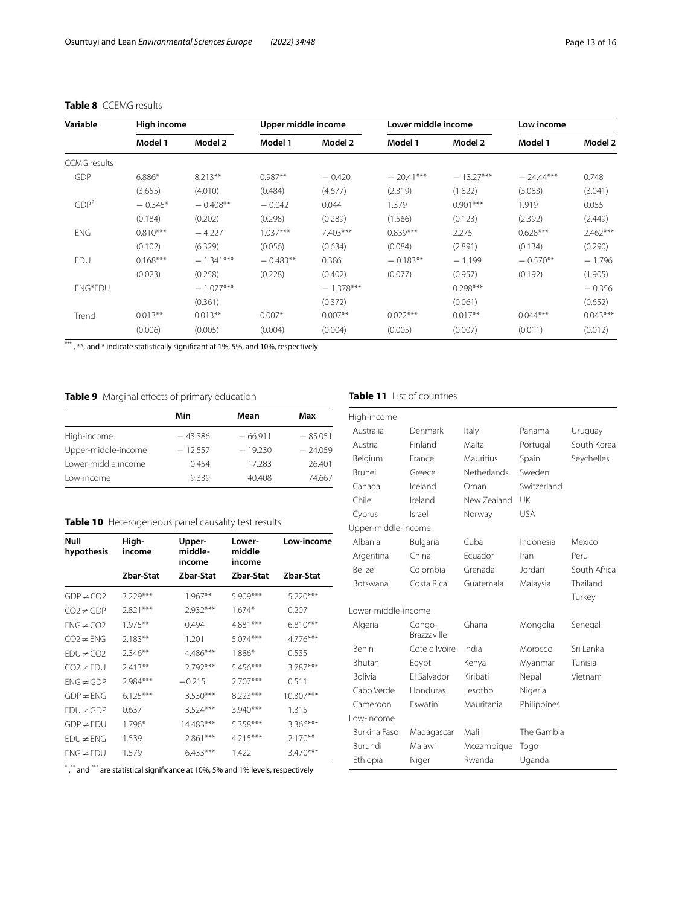| Variable            |            | Lower middle income<br>Upper middle income<br>High income |            |             | Low income  |             |             |            |
|---------------------|------------|-----------------------------------------------------------|------------|-------------|-------------|-------------|-------------|------------|
|                     | Model 1    | Model 2                                                   | Model 1    | Model 2     | Model 1     | Model 2     | Model 1     | Model 2    |
| <b>CCMG</b> results |            |                                                           |            |             |             |             |             |            |
| GDP                 | $6.886*$   | $8.213**$                                                 | $0.987**$  | $-0.420$    | $-20.41***$ | $-13.27***$ | $-24.44***$ | 0.748      |
|                     | (3.655)    | (4.010)                                                   | (0.484)    | (4.677)     | (2.319)     | (1.822)     | (3.083)     | (3.041)    |
| GDP <sup>2</sup>    | $-0.345*$  | $-0.408**$                                                | $-0.042$   | 0.044       | 1.379       | $0.901***$  | 1.919       | 0.055      |
|                     | (0.184)    | (0.202)                                                   | (0.298)    | (0.289)     | (1.566)     | (0.123)     | (2.392)     | (2.449)    |
| <b>ENG</b>          | $0.810***$ | $-4.227$                                                  | $1.037***$ | $7.403***$  | $0.839***$  | 2.275       | $0.628***$  | $2.462***$ |
|                     | (0.102)    | (6.329)                                                   | (0.056)    | (0.634)     | (0.084)     | (2.891)     | (0.134)     | (0.290)    |
| EDU                 | $0.168***$ | $-1.341***$                                               | $-0.483**$ | 0.386       | $-0.183**$  | $-1.199$    | $-0.570**$  | $-1.796$   |
|                     | (0.023)    | (0.258)                                                   | (0.228)    | (0.402)     | (0.077)     | (0.957)     | (0.192)     | (1.905)    |
| <b>ENG*EDU</b>      |            | $-1.077***$                                               |            | $-1.378***$ |             | $0.298***$  |             | $-0.356$   |
|                     |            | (0.361)                                                   |            | (0.372)     |             | (0.061)     |             | (0.652)    |
| Trend               | $0.013**$  | $0.013**$                                                 | $0.007*$   | $0.007**$   | $0.022***$  | $0.017**$   | $0.044***$  | $0.043***$ |
|                     | (0.006)    | (0.005)                                                   | (0.004)    | (0.004)     | (0.005)     | (0.007)     | (0.011)     | (0.012)    |

## <span id="page-12-1"></span>**Table 8** CCEMG results

\*\*\*, \*\*, and \* indicate statistically significant at 1%, 5%, and 10%, respectively

## <span id="page-12-2"></span>**Table 9** Marginal effects of primary education

|                     | Min       | Mean      | Max       |
|---------------------|-----------|-----------|-----------|
| High-income         | $-43.386$ | $-66.911$ | $-85.051$ |
| Upper-middle-income | $-12.557$ | $-19.230$ | $-24.059$ |
| Lower-middle income | 0454      | 17.283    | 26.401    |
| Low-income          | 9.339     | 40.408    | 74.667    |

## <span id="page-12-3"></span>**Table 10** Heterogeneous panel causality test results

| Null<br>hypothesis | High-<br>income | Upper-<br>middle-<br>income | Lower-<br>middle<br>income | Low-income |
|--------------------|-----------------|-----------------------------|----------------------------|------------|
|                    | Zbar-Stat       | Zbar-Stat                   | Zbar-Stat                  | Zbar-Stat  |
| $GDP \neq CO2$     | $3.229***$      | $1.967**$                   | 5.909***                   | $5.220***$ |
| $CO2 \neq GDP$     | $2.821***$      | $2.932***$                  | $1.674*$                   | 0.207      |
| $FNG \neq CO2$     | $1.975***$      | 0.494                       | 4.881***                   | $6.810***$ |
| CO2≠FNG            | $2.183**$       | 1.201                       | $5.074***$                 | $4.776***$ |
| $FDU \neq CO2$     | $2.346**$       | 4.486***                    | 1.886*                     | 0.535      |
| $CO2 \neq EDU$     | $2.413**$       | $2.792***$                  | 5.456***                   | 3.787***   |
| $FNG \neq GDP$     | 2.984***        | $-0.215$                    | $2.707***$                 | 0.511      |
| $GDP \neq ENG$     | $6.125***$      | 3.530***                    | 8.223***                   | 10.307***  |
| FDU≠GDP            | 0.637           | 3.524***                    | $3.940***$                 | 1.315      |
| $GDP \neq EDU$     | 1.796*          | 14.483***                   | 5.358***                   | 3.366***   |
| $EDU \neq ENG$     | 1.539           | $2.861***$                  | $4.215***$                 | $2.170**$  |
| FNG≠FDU            | 1.579           | $6.433***$                  | 1.422                      | 3.470***   |

 $^{\ast}$  , $^{\ast\ast}$  and  $^{\ast\ast\ast}$  are statistical significance at 10%, 5% and 1% levels, respectively

## <span id="page-12-0"></span>**Table 11** List of countries

| High-income         |                              |             |             |              |
|---------------------|------------------------------|-------------|-------------|--------------|
| Australia           | Denmark                      | Italy       | Panama      | Uruguay      |
| Austria             | Finland                      | Malta       | Portugal    | South Korea  |
| Belgium             | France                       | Mauritius   | Spain       | Seychelles   |
| <b>Brunei</b>       | Greece                       | Netherlands | Sweden      |              |
| Canada              | Iceland                      | Oman        | Switzerland |              |
| Chile               | Ireland                      | New Zealand | UK          |              |
| Cyprus              | Israel                       | Norway      | <b>USA</b>  |              |
| Upper-middle-income |                              |             |             |              |
| Albania             | Bulgaria                     | Cuba        | Indonesia   | Mexico       |
| Argentina           | China                        | Fcuador     | Iran        | Peru         |
| <b>Belize</b>       | Colombia                     | Grenada     | Jordan      | South Africa |
| Botswana            | Costa Rica                   | Guatemala   | Malaysia    | Thailand     |
|                     |                              |             |             | Turkey       |
| Lower-middle-income |                              |             |             |              |
| Algeria             | Congo-<br><b>Brazzaville</b> | Ghana       | Mongolia    | Senegal      |
| <b>Benin</b>        | Cote d'Ivoire                | India       | Morocco     | Sri Lanka    |
| <b>Bhutan</b>       | Egypt                        | Kenya       | Myanmar     | Tunisia      |
| <b>Bolivia</b>      | <b>FI Salvador</b>           | Kiribati    | Nepal       | Vietnam      |
| Cabo Verde          | Honduras                     | Lesotho     | Nigeria     |              |
| Cameroon            | Eswatini                     | Mauritania  | Philippines |              |
| Low-income          |                              |             |             |              |
| Burkina Faso        | Madagascar                   | Mali        | The Gambia  |              |
| Burundi             | Malawi                       | Mozambique  | Togo        |              |
| Ethiopia            | Niger                        | Rwanda      | Uganda      |              |
|                     |                              |             |             |              |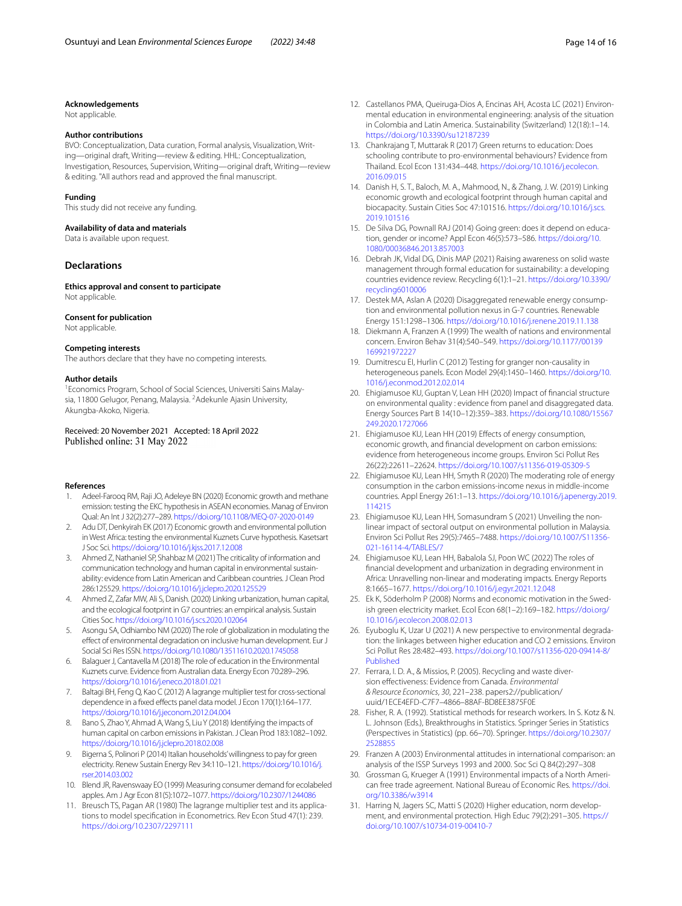#### **Acknowledgements**

Not applicable.

#### **Author contributions**

BVO: Conceptualization, Data curation, Formal analysis, Visualization, Writing—original draft, Writing—review & editing. HHL: Conceptualization, Investigation, Resources, Supervision, Writing—original draft, Writing—review & editing. "All authors read and approved the fnal manuscript.

#### **Funding**

This study did not receive any funding.

#### **Availability of data and materials**

Data is available upon request.

#### **Declarations**

**Ethics approval and consent to participate** Not applicable.

#### **Consent for publication**

Not applicable.

#### **Competing interests**

The authors declare that they have no competing interests.

#### **Author details**

<sup>1</sup> Economics Program, School of Social Sciences, Universiti Sains Malaysia, 11800 Gelugor, Penang, Malaysia. <sup>2</sup> Adekunle Ajasin University, Akungba-Akoko, Nigeria.

Received: 20 November 2021 Accepted: 18 April 2022 Published online: 31 May 2022

#### **References**

- <span id="page-13-4"></span>1. Adeel-Farooq RM, Raji JO, Adeleye BN (2020) Economic growth and methane emission: testing the EKC hypothesis in ASEAN economies. Manag of Environ Qual: An Int J 32(2):277–289.<https://doi.org/10.1108/MEQ-07-2020-0149>
- <span id="page-13-30"></span>2. Adu DT, Denkyirah EK (2017) Economic growth and environmental pollution in West Africa: testing the environmental Kuznets Curve hypothesis. Kasetsart J Soc Sci. <https://doi.org/10.1016/j.kjss.2017.12.008>
- <span id="page-13-24"></span>3. Ahmed Z, Nathaniel SP, Shahbaz M (2021) The criticality of information and communication technology and human capital in environmental sustainability: evidence from Latin American and Caribbean countries. J Clean Prod 286:125529. <https://doi.org/10.1016/j.jclepro.2020.125529>
- <span id="page-13-22"></span>4. Ahmed Z, Zafar MW, Ali S, Danish. (2020) Linking urbanization, human capital, and the ecological footprint in G7 countries: an empirical analysis. Sustain Cities Soc.<https://doi.org/10.1016/j.scs.2020.102064>
- <span id="page-13-5"></span>5. Asongu SA, Odhiambo NM (2020) The role of globalization in modulating the efect of environmental degradation on inclusive human development. Eur J Social Sci Res ISSN.<https://doi.org/10.1080/13511610.2020.1745058>
- <span id="page-13-14"></span>6. Balaguer J, Cantavella M (2018) The role of education in the Environmental Kuznets curve. Evidence from Australian data. Energy Econ 70:289–296. <https://doi.org/10.1016/j.eneco.2018.01.021>
- <span id="page-13-28"></span>7. Baltagi BH, Feng Q, Kao C (2012) A lagrange multiplier test for cross-sectional dependence in a fixed effects panel data model. J Econ 170(1):164-177. <https://doi.org/10.1016/j.jeconom.2012.04.004>
- <span id="page-13-23"></span>8. Bano S, Zhao Y, Ahmad A, Wang S, Liu Y (2018) Identifying the impacts of human capital on carbon emissions in Pakistan. J Clean Prod 183:1082–1092. <https://doi.org/10.1016/j.jclepro.2018.02.008>
- <span id="page-13-21"></span>9. Bigerna S, Polinori P (2014) Italian households' willingness to pay for green electricity. Renew Sustain Energy Rev 34:110–121. [https://doi.org/10.1016/j.](https://doi.org/10.1016/j.rser.2014.03.002) [rser.2014.03.002](https://doi.org/10.1016/j.rser.2014.03.002)
- <span id="page-13-19"></span>10. Blend JR, Ravenswaay EO (1999) Measuring consumer demand for ecolabeled apples. Am J Agr Econ 81(5):1072–1077.<https://doi.org/10.2307/1244086>
- <span id="page-13-27"></span>11. Breusch TS, Pagan AR (1980) The lagrange multiplier test and its applications to model specifcation in Econometrics. Rev Econ Stud 47(1): 239. <https://doi.org/10.2307/2297111>
- <span id="page-13-3"></span>12. Castellanos PMA, Queiruga-Dios A, Encinas AH, Acosta LC (2021) Environmental education in environmental engineering: analysis of the situation in Colombia and Latin America. Sustainability (Switzerland) 12(18):1–14. <https://doi.org/10.3390/su12187239>
- <span id="page-13-11"></span>13. Chankrajang T, Muttarak R (2017) Green returns to education: Does schooling contribute to pro-environmental behaviours? Evidence from Thailand. Ecol Econ 131:434–448. [https://doi.org/10.1016/j.ecolecon.](https://doi.org/10.1016/j.ecolecon.2016.09.015) [2016.09.015](https://doi.org/10.1016/j.ecolecon.2016.09.015)
- <span id="page-13-25"></span>14. Danish H, S. T., Baloch, M. A., Mahmood, N., & Zhang, J. W. (2019) Linking economic growth and ecological footprint through human capital and biocapacity. Sustain Cities Soc 47:101516. [https://doi.org/10.1016/j.scs.](https://doi.org/10.1016/j.scs.2019.101516) [2019.101516](https://doi.org/10.1016/j.scs.2019.101516)
- <span id="page-13-20"></span>15. De Silva DG, Pownall RAJ (2014) Going green: does it depend on education, gender or income? Appl Econ 46(5):573–586. [https://doi.org/10.](https://doi.org/10.1080/00036846.2013.857003) [1080/00036846.2013.857003](https://doi.org/10.1080/00036846.2013.857003)
- <span id="page-13-12"></span>16. Debrah JK, Vidal DG, Dinis MAP (2021) Raising awareness on solid waste management through formal education for sustainability: a developing countries evidence review. Recycling 6(1):1–21. [https://doi.org/10.3390/](https://doi.org/10.3390/recycling6010006) [recycling6010006](https://doi.org/10.3390/recycling6010006)
- <span id="page-13-0"></span>17. Destek MA, Aslan A (2020) Disaggregated renewable energy consumption and environmental pollution nexus in G-7 countries. Renewable Energy 151:1298–1306.<https://doi.org/10.1016/j.renene.2019.11.138>
- <span id="page-13-16"></span>18. Diekmann A, Franzen A (1999) The wealth of nations and environmental concern. Environ Behav 31(4):540–549. [https://doi.org/10.1177/00139](https://doi.org/10.1177/00139169921972227) [169921972227](https://doi.org/10.1177/00139169921972227)
- <span id="page-13-29"></span>19. Dumitrescu EI, Hurlin C (2012) Testing for granger non-causality in heterogeneous panels. Econ Model 29(4):1450–1460. [https://doi.org/10.](https://doi.org/10.1016/j.econmod.2012.02.014) [1016/j.econmod.2012.02.014](https://doi.org/10.1016/j.econmod.2012.02.014)
- <span id="page-13-1"></span>20. Ehigiamusoe KU, Guptan V, Lean HH (2020) Impact of fnancial structure on environmental quality : evidence from panel and disaggregated data. Energy Sources Part B 14(10–12):359–383. [https://doi.org/10.1080/15567](https://doi.org/10.1080/15567249.2020.1727066) [249.2020.1727066](https://doi.org/10.1080/15567249.2020.1727066)
- <span id="page-13-6"></span>21. Ehigiamusoe KU, Lean HH (2019) Efects of energy consumption, economic growth, and fnancial development on carbon emissions: evidence from heterogeneous income groups. Environ Sci Pollut Res 26(22):22611–22624. <https://doi.org/10.1007/s11356-019-05309-5>
- <span id="page-13-2"></span>22. Ehigiamusoe KU, Lean HH, Smyth R (2020) The moderating role of energy consumption in the carbon emissions-income nexus in middle-income countries. Appl Energy 261:1–13. [https://doi.org/10.1016/j.apenergy.2019.](https://doi.org/10.1016/j.apenergy.2019.114215) [114215](https://doi.org/10.1016/j.apenergy.2019.114215)
- <span id="page-13-7"></span>23. Ehigiamusoe KU, Lean HH, Somasundram S (2021) Unveiling the nonlinear impact of sectoral output on environmental pollution in Malaysia. Environ Sci Pollut Res 29(5):7465–7488. [https://doi.org/10.1007/S11356-](https://doi.org/10.1007/S11356-021-16114-4/TABLES/7) [021-16114-4/TABLES/7](https://doi.org/10.1007/S11356-021-16114-4/TABLES/7)
- <span id="page-13-8"></span>24. Ehigiamusoe KU, Lean HH, Babalola SJ, Poon WC (2022) The roles of fnancial development and urbanization in degrading environment in Africa: Unravelling non-linear and moderating impacts. Energy Reports 8:1665–1677. <https://doi.org/10.1016/j.egyr.2021.12.048>
- <span id="page-13-15"></span>25. Ek K, Söderholm P (2008) Norms and economic motivation in the Swedish green electricity market. Ecol Econ 68(1–2):169–182. [https://doi.org/](https://doi.org/10.1016/j.ecolecon.2008.02.013) [10.1016/j.ecolecon.2008.02.013](https://doi.org/10.1016/j.ecolecon.2008.02.013)
- <span id="page-13-10"></span>26. Eyuboglu K, Uzar U (2021) A new perspective to environmental degradation: the linkages between higher education and CO 2 emissions. Environ Sci Pollut Res 28:482–493. [https://doi.org/10.1007/s11356-020-09414-8/](https://doi.org/10.1007/s11356-020-09414-8/Published) [Published](https://doi.org/10.1007/s11356-020-09414-8/Published)
- <span id="page-13-18"></span>27. Ferrara, I. D. A., & Missios, P. (2005). Recycling and waste diversion efectiveness: Evidence from Canada. *Environmental & Resource Economics*, *30*, 221–238. papers2://publication/ uuid/1ECE4EFD-C7F7–4866–88AF-BD8EE3875F0E
- <span id="page-13-26"></span>28. Fisher, R. A. (1992). Statistical methods for research workers. In S. Kotz & N. L. Johnson (Eds.), Breakthroughs in Statistics. Springer Series in Statistics (Perspectives in Statistics) (pp. 66–70). Springer. [https://doi.org/10.2307/](https://doi.org/10.2307/2528855) [2528855](https://doi.org/10.2307/2528855)
- <span id="page-13-17"></span>29. Franzen A (2003) Environmental attitudes in international comparison: an analysis of the ISSP Surveys 1993 and 2000. Soc Sci Q 84(2):297–308
- <span id="page-13-9"></span>30. Grossman G, Krueger A (1991) Environmental impacts of a North American free trade agreement. National Bureau of Economic Res. [https://doi.](https://doi.org/10.3386/w3914) [org/10.3386/w3914](https://doi.org/10.3386/w3914)
- <span id="page-13-13"></span>31. Harring N, Jagers SC, Matti S (2020) Higher education, norm development, and environmental protection. High Educ 79(2):291–305. [https://](https://doi.org/10.1007/s10734-019-00410-7) [doi.org/10.1007/s10734-019-00410-7](https://doi.org/10.1007/s10734-019-00410-7)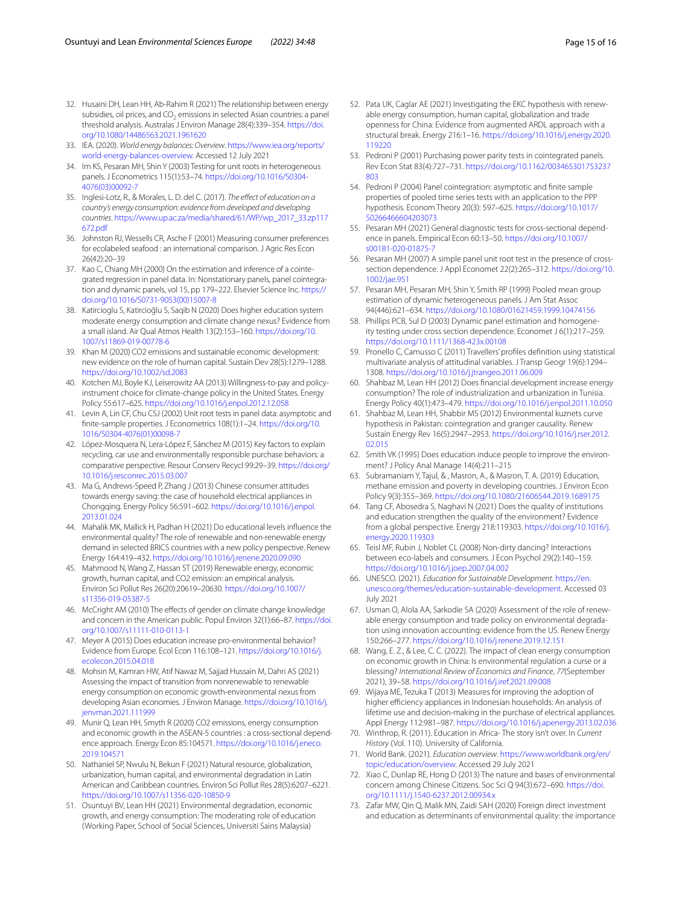- <span id="page-14-3"></span>32. Husaini DH, Lean HH, Ab-Rahim R (2021) The relationship between energy subsidies, oil prices, and CO<sub>2</sub> emissions in selected Asian countries: a panel threshold analysis. Australas J Environ Manage 28(4):339–354. [https://doi.](https://doi.org/10.1080/14486563.2021.1961620) [org/10.1080/14486563.2021.1961620](https://doi.org/10.1080/14486563.2021.1961620)
- <span id="page-14-40"></span>33. IEA. (2020). *World energy balances: Overview*. [https://www.iea.org/reports/](https://www.iea.org/reports/world-energy-balances-overview) [world-energy-balances-overview](https://www.iea.org/reports/world-energy-balances-overview). Accessed 12 July 2021
- <span id="page-14-31"></span>34. Im KS, Pesaran MH, Shin Y (2003) Testing for unit roots in heterogeneous panels. J Econometrics 115(1):53–74. [https://doi.org/10.1016/S0304-](https://doi.org/10.1016/S0304-4076(03)00092-7) [4076\(03\)00092-7](https://doi.org/10.1016/S0304-4076(03)00092-7)
- <span id="page-14-21"></span>35. Inglesi-Lotz, R., & Morales, L. D. del C. (2017). *The efect of education on a country's energy consumption: evidence from developed and developing countries*. [https://www.up.ac.za/media/shared/61/WP/wp\\_2017\\_33.zp117](https://www.up.ac.za/media/shared/61/WP/wp_2017_33.zp117672.pdf) [672.pdf](https://www.up.ac.za/media/shared/61/WP/wp_2017_33.zp117672.pdf)
- <span id="page-14-11"></span>36. Johnston RJ, Wessells CR, Asche F (2001) Measuring consumer preferences for ecolabeled seafood : an international comparison. J Agric Res Econ 26(42):20–39
- <span id="page-14-37"></span>37. Kao C, Chiang MH (2000) On the estimation and inference of a cointegrated regression in panel data. In: Nonstationary panels, panel cointegration and dynamic panels, vol 15, pp 179–222. Elsevier Science Inc. [https://](https://doi.org/10.1016/S0731-9053(00)15007-8) [doi.org/10.1016/S0731-9053\(00\)15007-8](https://doi.org/10.1016/S0731-9053(00)15007-8)
- <span id="page-14-13"></span>38. Katircioglu S, Katircioĝlu S, Saqib N (2020) Does higher education system moderate energy consumption and climate change nexus? Evidence from a small island. Air Qual Atmos Health 13(2):153–160. [https://doi.org/10.](https://doi.org/10.1007/s11869-019-00778-6) [1007/s11869-019-00778-6](https://doi.org/10.1007/s11869-019-00778-6)
- <span id="page-14-26"></span>39. Khan M (2020) CO2 emissions and sustainable economic development: new evidence on the role of human capital. Sustain Dev 28(5):1279–1288. <https://doi.org/10.1002/sd.2083>
- <span id="page-14-20"></span>40. Kotchen MJ, Boyle KJ, Leiserowitz AA (2013) Willingness-to-pay and policyinstrument choice for climate-change policy in the United States. Energy Policy 55:617–625. <https://doi.org/10.1016/j.enpol.2012.12.058>
- <span id="page-14-34"></span>41. Levin A, Lin CF, Chu CSJ (2002) Unit root tests in panel data: asymptotic and fnite-sample properties. J Econometrics 108(1):1–24. [https://doi.org/10.](https://doi.org/10.1016/S0304-4076(01)00098-7) [1016/S0304-4076\(01\)00098-7](https://doi.org/10.1016/S0304-4076(01)00098-7)
- <span id="page-14-14"></span>42. López-Mosquera N, Lera-López F, Sánchez M (2015) Key factors to explain recycling, car use and environmentally responsible purchase behaviors: a comparative perspective. Resour Conserv Recycl 99:29–39. [https://doi.org/](https://doi.org/10.1016/j.resconrec.2015.03.007) [10.1016/j.resconrec.2015.03.007](https://doi.org/10.1016/j.resconrec.2015.03.007)
- <span id="page-14-16"></span>43. Ma G, Andrews-Speed P, Zhang J (2013) Chinese consumer attitudes towards energy saving: the case of household electrical appliances in Chongqing. Energy Policy 56:591–602. [https://doi.org/10.1016/j.enpol.](https://doi.org/10.1016/j.enpol.2013.01.024) [2013.01.024](https://doi.org/10.1016/j.enpol.2013.01.024)
- <span id="page-14-24"></span>44. Mahalik MK, Mallick H, Padhan H (2021) Do educational levels infuence the environmental quality? The role of renewable and non-renewable energy demand in selected BRICS countries with a new policy perspective. Renew Energy 164:419–432.<https://doi.org/10.1016/j.renene.2020.09.090>
- <span id="page-14-27"></span>45. Mahmood N, Wang Z, Hassan ST (2019) Renewable energy, economic growth, human capital, and CO2 emission: an empirical analysis. Environ Sci Pollut Res 26(20):20619–20630. [https://doi.org/10.1007/](https://doi.org/10.1007/s11356-019-05387-5) [s11356-019-05387-5](https://doi.org/10.1007/s11356-019-05387-5)
- <span id="page-14-9"></span>46. McCright AM (2010) The efects of gender on climate change knowledge and concern in the American public. Popul Environ 32(1):66–87. [https://doi.](https://doi.org/10.1007/s11111-010-0113-1) [org/10.1007/s11111-010-0113-1](https://doi.org/10.1007/s11111-010-0113-1)
- <span id="page-14-22"></span>47. Meyer A (2015) Does education increase pro-environmental behavior? Evidence from Europe. Ecol Econ 116:108–121. [https://doi.org/10.1016/j.](https://doi.org/10.1016/j.ecolecon.2015.04.018) [ecolecon.2015.04.018](https://doi.org/10.1016/j.ecolecon.2015.04.018)
- <span id="page-14-1"></span>48. Mohsin M, Kamran HW, Atif Nawaz M, Sajjad Hussain M, Dahri AS (2021) Assessing the impact of transition from nonrenewable to renewable energy consumption on economic growth-environmental nexus from developing Asian economies. J Environ Manage. [https://doi.org/10.1016/j.](https://doi.org/10.1016/j.jenvman.2021.111999) [jenvman.2021.111999](https://doi.org/10.1016/j.jenvman.2021.111999)
- <span id="page-14-0"></span>49. Munir Q, Lean HH, Smyth R (2020) CO2 emissions, energy consumption and economic growth in the ASEAN-5 countries : a cross-sectional dependence approach. Energy Econ 85:104571. [https://doi.org/10.1016/j.eneco.](https://doi.org/10.1016/j.eneco.2019.104571) [2019.104571](https://doi.org/10.1016/j.eneco.2019.104571)
- <span id="page-14-4"></span>50. Nathaniel SP, Nwulu N, Bekun F (2021) Natural resource, globalization, urbanization, human capital, and environmental degradation in Latin American and Caribbean countries. Environ Sci Pollut Res 28(5):6207–6221. <https://doi.org/10.1007/s11356-020-10850-9>
- <span id="page-14-30"></span>51. Osuntuyi BV, Lean HH (2021) Environmental degradation, economic growth, and energy consumption: The moderating role of education (Working Paper, School of Social Sciences, Universiti Sains Malaysia)
- <span id="page-14-28"></span>52. Pata UK, Caglar AE (2021) Investigating the EKC hypothesis with renewable energy consumption, human capital, globalization and trade openness for China: Evidence from augmented ARDL approach with a structural break. Energy 216:1–16. [https://doi.org/10.1016/j.energy.2020.](https://doi.org/10.1016/j.energy.2020.119220) [119220](https://doi.org/10.1016/j.energy.2020.119220)
- <span id="page-14-35"></span>53. Pedroni P (2001) Purchasing power parity tests in cointegrated panels. Rev Econ Stat 83(4):727–731. [https://doi.org/10.1162/003465301753237](https://doi.org/10.1162/003465301753237803) [803](https://doi.org/10.1162/003465301753237803)
- <span id="page-14-36"></span>54. Pedroni P (2004) Panel cointegration: asymptotic and fnite sample properties of pooled time series tests with an application to the PPP hypothesis. Econom Theory 20(3): 597–625. [https://doi.org/10.1017/](https://doi.org/10.1017/S0266466604203073) [S0266466604203073](https://doi.org/10.1017/S0266466604203073)
- <span id="page-14-32"></span>55. Pesaran MH (2021) General diagnostic tests for cross-sectional dependence in panels. Empirical Econ 60:13–50. [https://doi.org/10.1007/](https://doi.org/10.1007/s00181-020-01875-7) [s00181-020-01875-7](https://doi.org/10.1007/s00181-020-01875-7)
- <span id="page-14-33"></span>56. Pesaran MH (2007) A simple panel unit root test in the presence of crosssection dependence. J Appl Economet 22(2):265–312. [https://doi.org/10.](https://doi.org/10.1002/jae.951) [1002/jae.951](https://doi.org/10.1002/jae.951)
- <span id="page-14-38"></span>57. Pesaran MH, Pesaran MH, Shin Y, Smith RP (1999) Pooled mean group estimation of dynamic heterogeneous panels. J Am Stat Assoc 94(446):621–634. <https://doi.org/10.1080/01621459.1999.10474156>
- <span id="page-14-39"></span>58. Phillips PCB, Sul D (2003) Dynamic panel estimation and homogeneity testing under cross section dependence. Economet J 6(1):217–259. <https://doi.org/10.1111/1368-423x.00108>
- <span id="page-14-18"></span>59. Pronello C, Camusso C (2011) Travellers' profles defnition using statistical multivariate analysis of attitudinal variables. J Transp Geogr 19(6):1294– 1308.<https://doi.org/10.1016/j.jtrangeo.2011.06.009>
- <span id="page-14-5"></span>60. Shahbaz M, Lean HH (2012) Does fnancial development increase energy consumption? The role of industrialization and urbanization in Tunisia. Energy Policy 40(1):473–479.<https://doi.org/10.1016/j.enpol.2011.10.050>
- <span id="page-14-7"></span>61. Shahbaz M, Lean HH, Shabbir MS (2012) Environmental kuznets curve hypothesis in Pakistan: cointegration and granger causality. Renew Sustain Energy Rev 16(5):2947–2953. [https://doi.org/10.1016/j.rser.2012.](https://doi.org/10.1016/j.rser.2012.02.015) [02.015](https://doi.org/10.1016/j.rser.2012.02.015)
- <span id="page-14-15"></span>62. Smith VK (1995) Does education induce people to improve the environment? J Policy Anal Manage 14(4):211–215
- <span id="page-14-25"></span>63. Subramaniam Y, Tajul, & , Masron, A., & Masron, T. A. (2019) Education, methane emission and poverty in developing countries. J Environ Econ Policy 9(3):355–369.<https://doi.org/10.1080/21606544.2019.1689175>
- <span id="page-14-8"></span>64. Tang CF, Abosedra S, Naghavi N (2021) Does the quality of institutions and education strengthen the quality of the environment? Evidence from a global perspective. Energy 218:119303. [https://doi.org/10.1016/j.](https://doi.org/10.1016/j.energy.2020.119303) [energy.2020.119303](https://doi.org/10.1016/j.energy.2020.119303)
- <span id="page-14-12"></span>65. Teisl MF, Rubin J, Noblet CL (2008) Non-dirty dancing? Interactions between eco-labels and consumers. J Econ Psychol 29(2):140–159. <https://doi.org/10.1016/j.joep.2007.04.002>
- <span id="page-14-10"></span>66. UNESCO. (2021). *Education for Sustainable Development*. [https://en.](https://en.unesco.org/themes/education-sustainable-development) [unesco.org/themes/education-sustainable-development](https://en.unesco.org/themes/education-sustainable-development). Accessed 03 July 2021
- <span id="page-14-2"></span>67. Usman O, Alola AA, Sarkodie SA (2020) Assessment of the role of renewable energy consumption and trade policy on environmental degradation using innovation accounting: evidence from the US. Renew Energy 150:266–277. <https://doi.org/10.1016/j.renene.2019.12.151>
- <span id="page-14-6"></span>68. Wang, E. Z., & Lee, C. C. (2022). The impact of clean energy consumption on economic growth in China: Is environmental regulation a curse or a blessing? *International Review of Economics and Finance*, *77*(September 2021), 39–58. <https://doi.org/10.1016/j.iref.2021.09.008>
- <span id="page-14-17"></span>69. Wijaya ME, Tezuka T (2013) Measures for improving the adoption of higher efficiency appliances in Indonesian households: An analysis of lifetime use and decision-making in the purchase of electrical appliances. Appl Energy 112:981–987. <https://doi.org/10.1016/j.apenergy.2013.02.036>
- <span id="page-14-29"></span>70. Winthrop, R. (2011). Education in Africa- The story isn't over. In *Current History* (Vol. 110). University of California.
- <span id="page-14-41"></span>71. World Bank. (2021). *Education overview*. [https://www.worldbank.org/en/](https://www.worldbank.org/en/topic/education/overview) [topic/education/overview.](https://www.worldbank.org/en/topic/education/overview) Accessed 29 July 2021
- <span id="page-14-19"></span>72. Xiao C, Dunlap RE, Hong D (2013) The nature and bases of environmental concern among Chinese Citizens. Soc Sci Q 94(3):672–690. [https://doi.](https://doi.org/10.1111/j.1540-6237.2012.00934.x) [org/10.1111/j.1540-6237.2012.00934.x](https://doi.org/10.1111/j.1540-6237.2012.00934.x)
- <span id="page-14-23"></span>73. Zafar MW, Qin Q, Malik MN, Zaidi SAH (2020) Foreign direct investment and education as determinants of environmental quality: the importance